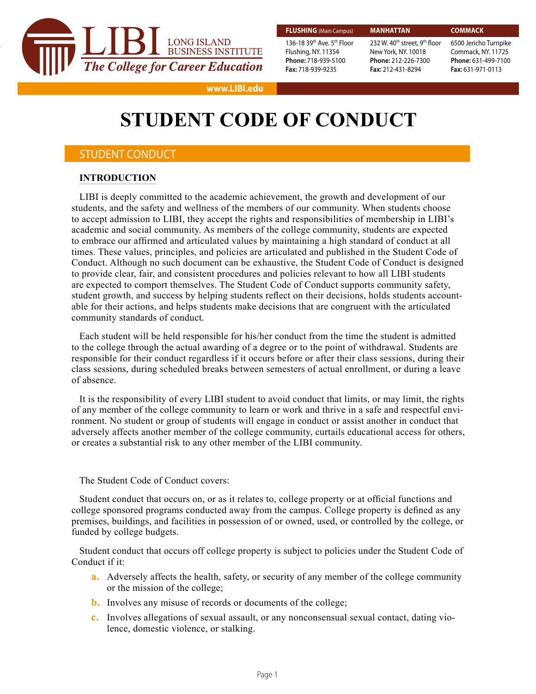

Flushing, NY. 11354 **Phone:** 718-939-5100 **Fax:** 718-939-9235

#### **MANHATTAN**

136-18 39th Ave. 5th Floor 232 W. 40<sup>th</sup> street, 9<sup>th</sup> floor New York, NY. 10018 **Phone:** 212-226-7300 **Fax:** 212-431-8294

**COMMACK** 6500 Jericho Turnpike Commack, NY. 11725 **Phone:** 631-499-7100 **Fax:** 631-971-0113

#### **www.LIBI.edu**

# **STUDENT CODE OF CONDUCT**

## STUDENT CONDUCT

#### **INTRODUCTION**

LIBI is deeply committed to the academic achievement, the growth and development of our students, and the safety and wellness of the members of our community. When students choose to accept admission to LIBI, they accept the rights and responsibilities of membership in LIBI's academic and social community. As members of the college community, students are expected to embrace our affirmed and articulated values by maintaining a high standard of conduct at all times. These values, principles, and policies are articulated and published in the Student Code of Conduct. Although no such document can be exhaustive, the Student Code of Conduct is designed to provide clear, fair, and consistent procedures and policies relevant to how all LIBI students are expected to comport themselves. The Student Code of Conduct supports community safety, student growth, and success by helping students reflect on their decisions, holds students accountable for their actions, and helps students make decisions that are congruent with the articulated community standards of conduct.

Each student will be held responsible for his/her conduct from the time the student is admitted to the college through the actual awarding of a degree or to the point of withdrawal. Students are responsible for their conduct regardless if it occurs before or after their class sessions, during their class sessions, during scheduled breaks between semesters of actual enrollment, or during a leave of absence.

It is the responsibility of every LIBI student to avoid conduct that limits, or may limit, the rights of any member of the college community to learn or work and thrive in a safe and respectful environment. No student or group of students will engage in conduct or assist another in conduct that adversely affects another member of the college community, curtails educational access for others, or creates a substantial risk to any other member of the LIBI community.

The Student Code of Conduct covers:

Student conduct that occurs on, or as it relates to, college property or at official functions and college sponsored programs conducted away from the campus. College property is defined as any premises, buildings, and facilities in possession of or owned, used, or controlled by the college, or funded by college budgets.

Student conduct that occurs off college property is subject to policies under the Student Code of Conduct if it:

- **a.** Adversely affects the health, safety, or security of any member of the college community or the mission of the college;
- **b.** Involves any misuse of records or documents of the college;
- **c.** Involves allegations of sexual assault, or any nonconsensual sexual contact, dating violence, domestic violence, or stalking.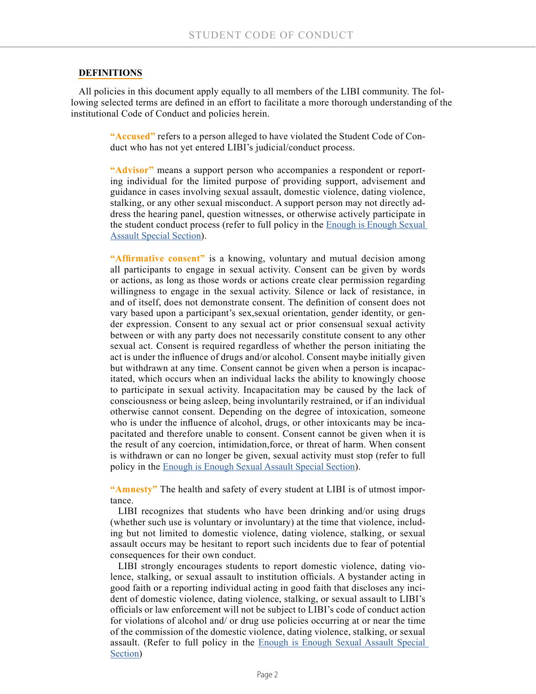#### **DEFINITIONS**

All policies in this document apply equally to all members of the LIBI community. The following selected terms are defined in an effort to facilitate a more thorough understanding of the institutional Code of Conduct and policies herein.

**"Accused"** refers to a person alleged to have violated the Student Code of Conduct who has not yet entered LIBI's judicial/conduct process.

**"Advisor"** means a support person who accompanies a respondent or reporting individual for the limited purpose of providing support, advisement and guidance in cases involving sexual assault, domestic violence, dating violence, stalking, or any other sexual misconduct. A support person may not directly address the hearing panel, question witnesses, or otherwise actively participate in the student conduct process (refer to full policy in the **Enough is Enough Sexual** [Assault Special Section\)](https://issuu.com/longislandbusinessinstitute/docs/enough_is_enough_-_ff?e=15759193/61367658).

"Affirmative consent" is a knowing, voluntary and mutual decision among all participants to engage in sexual activity. Consent can be given by words or actions, as long as those words or actions create clear permission regarding willingness to engage in the sexual activity. Silence or lack of resistance, in and of itself, does not demonstrate consent. The definition of consent does not vary based upon a participant's sex,sexual orientation, gender identity, or gender expression. Consent to any sexual act or prior consensual sexual activity between or with any party does not necessarily constitute consent to any other sexual act. Consent is required regardless of whether the person initiating the act is under the influence of drugs and/or alcohol. Consent maybe initially given but withdrawn at any time. Consent cannot be given when a person is incapacitated, which occurs when an individual lacks the ability to knowingly choose to participate in sexual activity. Incapacitation may be caused by the lack of consciousness or being asleep, being involuntarily restrained, or if an individual otherwise cannot consent. Depending on the degree of intoxication, someone who is under the influence of alcohol, drugs, or other intoxicants may be incapacitated and therefore unable to consent. Consent cannot be given when it is the result of any coercion, intimidation,force, or threat of harm. When consent is withdrawn or can no longer be given, sexual activity must stop (refer to full policy in the [Enough is Enough Sexual Assault Special Section\)](https://issuu.com/longislandbusinessinstitute/docs/enough_is_enough_-_ff?e=15759193/61367658).

**"Amnesty"** The health and safety of every student at LIBI is of utmost importance.

LIBI recognizes that students who have been drinking and/or using drugs (whether such use is voluntary or involuntary) at the time that violence, including but not limited to domestic violence, dating violence, stalking, or sexual assault occurs may be hesitant to report such incidents due to fear of potential consequences for their own conduct.

LIBI strongly encourages students to report domestic violence, dating violence, stalking, or sexual assault to institution officials. A bystander acting in good faith or a reporting individual acting in good faith that discloses any incident of domestic violence, dating violence, stalking, or sexual assault to LIBI's officials or law enforcement will not be subject to LIBI's code of conduct action for violations of alcohol and/ or drug use policies occurring at or near the time of the commission of the domestic violence, dating violence, stalking, or sexual assault. (Refer to full policy in the [Enough is Enough Sexual Assault Special](https://issuu.com/longislandbusinessinstitute/docs/enough_is_enough_-_ff?e=15759193/61367658)  [Section\)](https://issuu.com/longislandbusinessinstitute/docs/enough_is_enough_-_ff?e=15759193/61367658)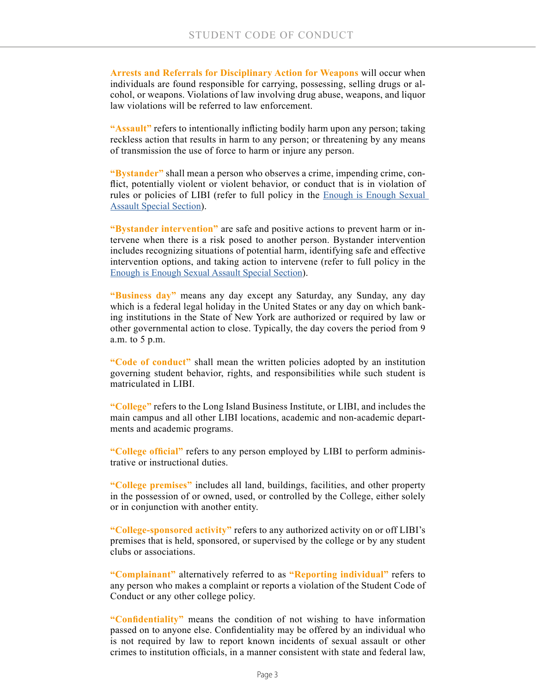**Arrests and Referrals for Disciplinary Action for Weapons** will occur when individuals are found responsible for carrying, possessing, selling drugs or alcohol, or weapons. Violations of law involving drug abuse, weapons, and liquor law violations will be referred to law enforcement.

**"Assault"** refers to intentionally inflicting bodily harm upon any person; taking reckless action that results in harm to any person; or threatening by any means of transmission the use of force to harm or injure any person.

**"Bystander"** shall mean a person who observes a crime, impending crime, conflict, potentially violent or violent behavior, or conduct that is in violation of rules or policies of LIBI (refer to full policy in the [Enough is Enough Sexual](https://issuu.com/longislandbusinessinstitute/docs/enough_is_enough_-_ff?e=15759193/61367658)  [Assault Special Section\)](https://issuu.com/longislandbusinessinstitute/docs/enough_is_enough_-_ff?e=15759193/61367658).

**"Bystander intervention"** are safe and positive actions to prevent harm or intervene when there is a risk posed to another person. Bystander intervention includes recognizing situations of potential harm, identifying safe and effective intervention options, and taking action to intervene (refer to full policy in the [Enough is Enough Sexual Assault Special Section](https://issuu.com/longislandbusinessinstitute/docs/enough_is_enough_-_ff?e=15759193/61367658)).

**"Business day"** means any day except any Saturday, any Sunday, any day which is a federal legal holiday in the United States or any day on which banking institutions in the State of New York are authorized or required by law or other governmental action to close. Typically, the day covers the period from 9 a.m. to 5 p.m.

**"Code of conduct"** shall mean the written policies adopted by an institution governing student behavior, rights, and responsibilities while such student is matriculated in LIBI.

**"College"** refers to the Long Island Business Institute, or LIBI, and includes the main campus and all other LIBI locations, academic and non-academic departments and academic programs.

**"College official"** refers to any person employed by LIBI to perform administrative or instructional duties.

**"College premises"** includes all land, buildings, facilities, and other property in the possession of or owned, used, or controlled by the College, either solely or in conjunction with another entity.

**"College-sponsored activity"** refers to any authorized activity on or off LIBI's premises that is held, sponsored, or supervised by the college or by any student clubs or associations.

**"Complainant"** alternatively referred to as **"Reporting individual"** refers to any person who makes a complaint or reports a violation of the Student Code of Conduct or any other college policy.

**"Confidentiality"** means the condition of not wishing to have information passed on to anyone else. Confidentiality may be offered by an individual who is not required by law to report known incidents of sexual assault or other crimes to institution officials, in a manner consistent with state and federal law,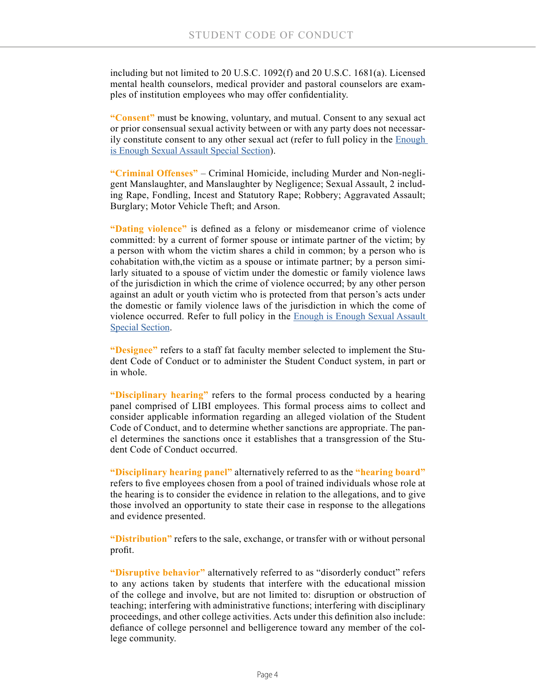including but not limited to 20 U.S.C. 1092(f) and 20 U.S.C. 1681(a). Licensed mental health counselors, medical provider and pastoral counselors are examples of institution employees who may offer confidentiality.

**"Consent"** must be knowing, voluntary, and mutual. Consent to any sexual act or prior consensual sexual activity between or with any party does not necessarily constitute consent to any other sexual act (refer to full policy in the [Enough](https://issuu.com/longislandbusinessinstitute/docs/enough_is_enough_-_ff?e=15759193/61367658)  [is Enough Sexual Assault Special Section\)](https://issuu.com/longislandbusinessinstitute/docs/enough_is_enough_-_ff?e=15759193/61367658).

**"Criminal Offenses"** – Criminal Homicide, including Murder and Non-negligent Manslaughter, and Manslaughter by Negligence; Sexual Assault, 2 including Rape, Fondling, Incest and Statutory Rape; Robbery; Aggravated Assault; Burglary; Motor Vehicle Theft; and Arson.

**"Dating violence"** is defined as a felony or misdemeanor crime of violence committed: by a current of former spouse or intimate partner of the victim; by a person with whom the victim shares a child in common; by a person who is cohabitation with,the victim as a spouse or intimate partner; by a person similarly situated to a spouse of victim under the domestic or family violence laws of the jurisdiction in which the crime of violence occurred; by any other person against an adult or youth victim who is protected from that person's acts under the domestic or family violence laws of the jurisdiction in which the come of violence occurred. Refer to full policy in the [Enough is Enough Sexual Assault](https://issuu.com/longislandbusinessinstitute/docs/enough_is_enough_-_ff?e=15759193/61367658)  [Special Section.](https://issuu.com/longislandbusinessinstitute/docs/enough_is_enough_-_ff?e=15759193/61367658)

**"Designee"** refers to a staff fat faculty member selected to implement the Student Code of Conduct or to administer the Student Conduct system, in part or in whole.

**"Disciplinary hearing"** refers to the formal process conducted by a hearing panel comprised of LIBI employees. This formal process aims to collect and consider applicable information regarding an alleged violation of the Student Code of Conduct, and to determine whether sanctions are appropriate. The panel determines the sanctions once it establishes that a transgression of the Student Code of Conduct occurred.

**"Disciplinary hearing panel"** alternatively referred to as the **"hearing board"** refers to five employees chosen from a pool of trained individuals whose role at the hearing is to consider the evidence in relation to the allegations, and to give those involved an opportunity to state their case in response to the allegations and evidence presented.

**"Distribution"** refers to the sale, exchange, or transfer with or without personal profit.

**"Disruptive behavior"** alternatively referred to as "disorderly conduct" refers to any actions taken by students that interfere with the educational mission of the college and involve, but are not limited to: disruption or obstruction of teaching; interfering with administrative functions; interfering with disciplinary proceedings, and other college activities. Acts under this definition also include: defiance of college personnel and belligerence toward any member of the college community.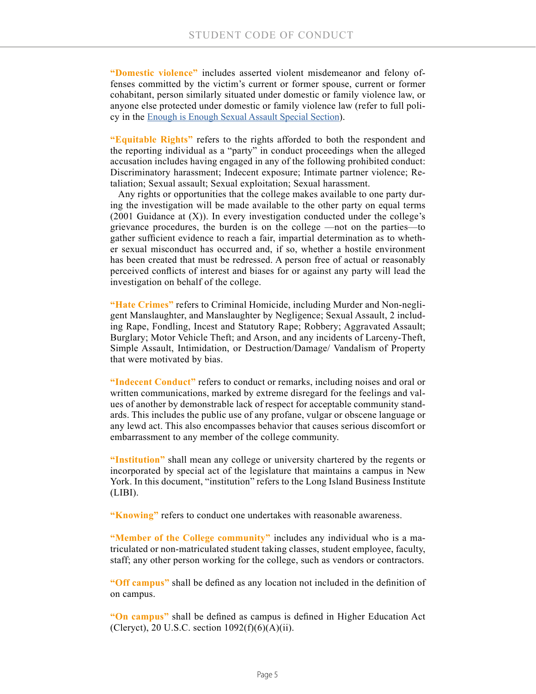**"Domestic violence"** includes asserted violent misdemeanor and felony offenses committed by the victim's current or former spouse, current or former cohabitant, person similarly situated under domestic or family violence law, or anyone else protected under domestic or family violence law (refer to full policy in the [Enough is Enough Sexual Assault Special Section\)](https://issuu.com/longislandbusinessinstitute/docs/enough_is_enough_-_ff?e=15759193/61367658).

**"Equitable Rights"** refers to the rights afforded to both the respondent and the reporting individual as a "party" in conduct proceedings when the alleged accusation includes having engaged in any of the following prohibited conduct: Discriminatory harassment; Indecent exposure; Intimate partner violence; Retaliation; Sexual assault; Sexual exploitation; Sexual harassment.

Any rights or opportunities that the college makes available to one party during the investigation will be made available to the other party on equal terms  $(2001)$  Guidance at  $(X)$ ). In every investigation conducted under the college's grievance procedures, the burden is on the college —not on the parties—to gather sufficient evidence to reach a fair, impartial determination as to whether sexual misconduct has occurred and, if so, whether a hostile environment has been created that must be redressed. A person free of actual or reasonably perceived conflicts of interest and biases for or against any party will lead the investigation on behalf of the college.

**"Hate Crimes"** refers to Criminal Homicide, including Murder and Non-negligent Manslaughter, and Manslaughter by Negligence; Sexual Assault, 2 including Rape, Fondling, Incest and Statutory Rape; Robbery; Aggravated Assault; Burglary; Motor Vehicle Theft; and Arson, and any incidents of Larceny-Theft, Simple Assault, Intimidation, or Destruction/Damage/ Vandalism of Property that were motivated by bias.

**"Indecent Conduct"** refers to conduct or remarks, including noises and oral or written communications, marked by extreme disregard for the feelings and values of another by demonstrable lack of respect for acceptable community standards. This includes the public use of any profane, vulgar or obscene language or any lewd act. This also encompasses behavior that causes serious discomfort or embarrassment to any member of the college community.

**"Institution"** shall mean any college or university chartered by the regents or incorporated by special act of the legislature that maintains a campus in New York. In this document, "institution" refers to the Long Island Business Institute (LIBI).

**"Knowing"** refers to conduct one undertakes with reasonable awareness.

**"Member of the College community"** includes any individual who is a matriculated or non-matriculated student taking classes, student employee, faculty, staff; any other person working for the college, such as vendors or contractors.

**"Off campus"** shall be defined as any location not included in the definition of on campus.

**"On campus"** shall be defined as campus is defined in Higher Education Act (Cleryct), 20 U.S.C. section  $1092(f)(6)(A)(ii)$ .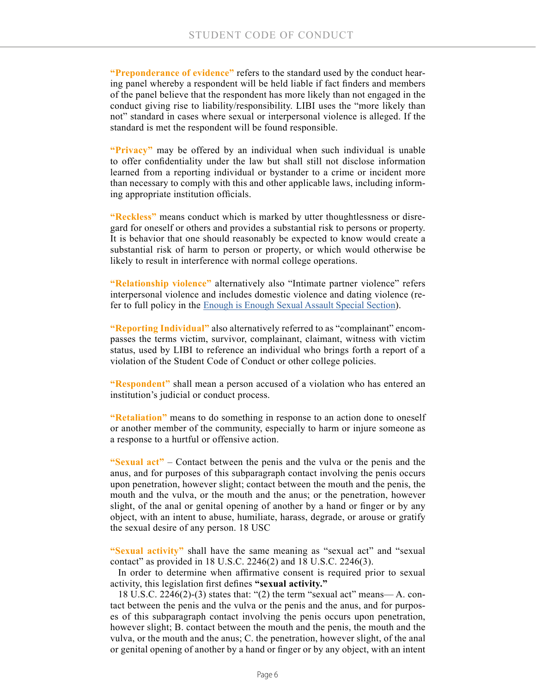**"Preponderance of evidence"** refers to the standard used by the conduct hearing panel whereby a respondent will be held liable if fact finders and members of the panel believe that the respondent has more likely than not engaged in the conduct giving rise to liability/responsibility. LIBI uses the "more likely than not" standard in cases where sexual or interpersonal violence is alleged. If the standard is met the respondent will be found responsible.

**"Privacy"** may be offered by an individual when such individual is unable to offer confidentiality under the law but shall still not disclose information learned from a reporting individual or bystander to a crime or incident more than necessary to comply with this and other applicable laws, including informing appropriate institution officials.

**"Reckless"** means conduct which is marked by utter thoughtlessness or disregard for oneself or others and provides a substantial risk to persons or property. It is behavior that one should reasonably be expected to know would create a substantial risk of harm to person or property, or which would otherwise be likely to result in interference with normal college operations.

**"Relationship violence"** alternatively also "Intimate partner violence" refers interpersonal violence and includes domestic violence and dating violence (refer to full policy in the [Enough is Enough Sexual Assault Special Section\)](https://issuu.com/longislandbusinessinstitute/docs/enough_is_enough_-_ff?e=15759193/61367658).

**"Reporting Individual"** also alternatively referred to as "complainant" encompasses the terms victim, survivor, complainant, claimant, witness with victim status, used by LIBI to reference an individual who brings forth a report of a violation of the Student Code of Conduct or other college policies.

**"Respondent"** shall mean a person accused of a violation who has entered an institution's judicial or conduct process.

**"Retaliation"** means to do something in response to an action done to oneself or another member of the community, especially to harm or injure someone as a response to a hurtful or offensive action.

**"Sexual act"** – Contact between the penis and the vulva or the penis and the anus, and for purposes of this subparagraph contact involving the penis occurs upon penetration, however slight; contact between the mouth and the penis, the mouth and the vulva, or the mouth and the anus; or the penetration, however slight, of the anal or genital opening of another by a hand or finger or by any object, with an intent to abuse, humiliate, harass, degrade, or arouse or gratify the sexual desire of any person. 18 USC

**"Sexual activity"** shall have the same meaning as "sexual act" and "sexual contact" as provided in 18 U.S.C. 2246(2) and 18 U.S.C. 2246(3).

In order to determine when affirmative consent is required prior to sexual activity, this legislation first defines **"sexual activity."**

18 U.S.C. 2246(2)-(3) states that: "(2) the term "sexual act" means— A. contact between the penis and the vulva or the penis and the anus, and for purposes of this subparagraph contact involving the penis occurs upon penetration, however slight; B. contact between the mouth and the penis, the mouth and the vulva, or the mouth and the anus; C. the penetration, however slight, of the anal or genital opening of another by a hand or finger or by any object, with an intent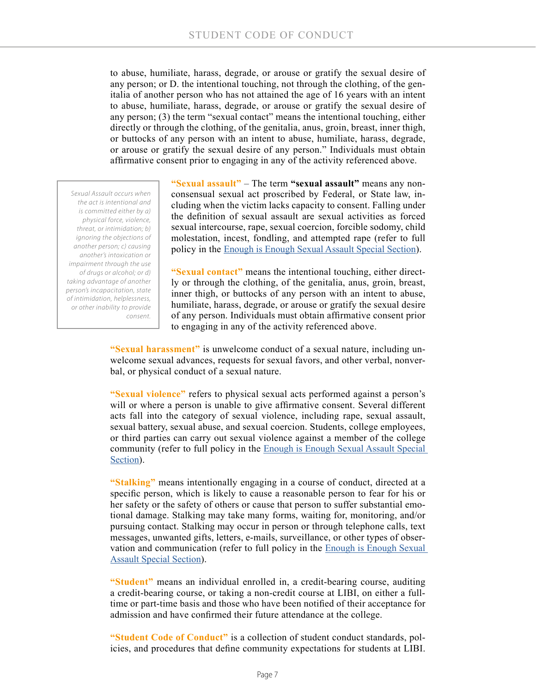to abuse, humiliate, harass, degrade, or arouse or gratify the sexual desire of any person; or D. the intentional touching, not through the clothing, of the genitalia of another person who has not attained the age of 16 years with an intent to abuse, humiliate, harass, degrade, or arouse or gratify the sexual desire of any person; (3) the term "sexual contact" means the intentional touching, either directly or through the clothing, of the genitalia, anus, groin, breast, inner thigh, or buttocks of any person with an intent to abuse, humiliate, harass, degrade, or arouse or gratify the sexual desire of any person." Individuals must obtain affirmative consent prior to engaging in any of the activity referenced above.

*Sexual Assault occurs when the act is intentional and is committed either by a) physical force, violence, threat, or intimidation; b) ignoring the objections of another person; c) causing another's intoxication or impairment through the use of drugs or alcohol; or d) taking advantage of another person's incapacitation, state of intimidation, helplessness, or other inability to provide consent.*

**"Sexual assault"** – The term **"sexual assault"** means any nonconsensual sexual act proscribed by Federal, or State law, including when the victim lacks capacity to consent. Falling under the definition of sexual assault are sexual activities as forced sexual intercourse, rape, sexual coercion, forcible sodomy, child molestation, incest, fondling, and attempted rape (refer to full policy in the [Enough is Enough Sexual Assault Special Section](https://issuu.com/longislandbusinessinstitute/docs/enough_is_enough_-_ff?e=15759193/61367658)).

**"Sexual contact"** means the intentional touching, either directly or through the clothing, of the genitalia, anus, groin, breast, inner thigh, or buttocks of any person with an intent to abuse, humiliate, harass, degrade, or arouse or gratify the sexual desire of any person. Individuals must obtain affirmative consent prior to engaging in any of the activity referenced above.

**"Sexual harassment"** is unwelcome conduct of a sexual nature, including unwelcome sexual advances, requests for sexual favors, and other verbal, nonverbal, or physical conduct of a sexual nature.

**"Sexual violence"** refers to physical sexual acts performed against a person's will or where a person is unable to give affirmative consent. Several different acts fall into the category of sexual violence, including rape, sexual assault, sexual battery, sexual abuse, and sexual coercion. Students, college employees, or third parties can carry out sexual violence against a member of the college community (refer to full policy in the [Enough is Enough Sexual Assault Special](https://issuu.com/longislandbusinessinstitute/docs/enough_is_enough_-_ff?e=15759193/61367658)  [Section\)](https://issuu.com/longislandbusinessinstitute/docs/enough_is_enough_-_ff?e=15759193/61367658).

**"Stalking"** means intentionally engaging in a course of conduct, directed at a specific person, which is likely to cause a reasonable person to fear for his or her safety or the safety of others or cause that person to suffer substantial emotional damage. Stalking may take many forms, waiting for, monitoring, and/or pursuing contact. Stalking may occur in person or through telephone calls, text messages, unwanted gifts, letters, e-mails, surveillance, or other types of observation and communication (refer to full policy in the **Enough is Enough Sexual** [Assault Special Section\)](https://issuu.com/longislandbusinessinstitute/docs/enough_is_enough_-_ff?e=15759193/61367658).

**"Student"** means an individual enrolled in, a credit-bearing course, auditing a credit-bearing course, or taking a non-credit course at LIBI, on either a fulltime or part-time basis and those who have been notified of their acceptance for admission and have confirmed their future attendance at the college.

**"Student Code of Conduct"** is a collection of student conduct standards, policies, and procedures that define community expectations for students at LIBI.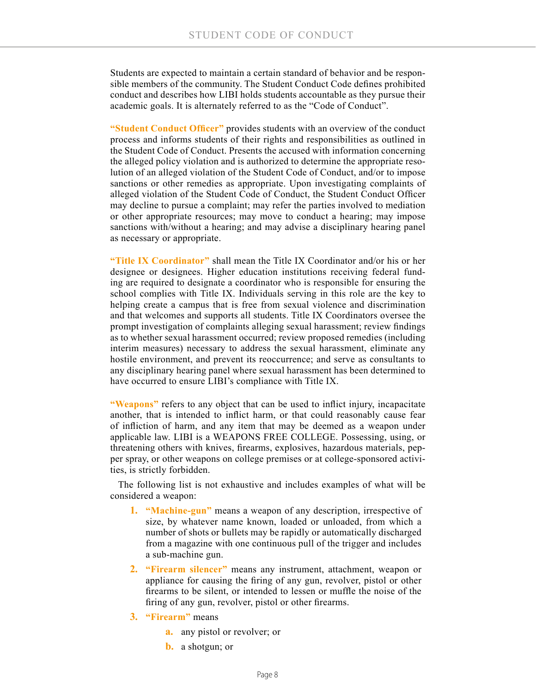Students are expected to maintain a certain standard of behavior and be responsible members of the community. The Student Conduct Code defines prohibited conduct and describes how LIBI holds students accountable as they pursue their academic goals. It is alternately referred to as the "Code of Conduct".

**"Student Conduct Officer"** provides students with an overview of the conduct process and informs students of their rights and responsibilities as outlined in the Student Code of Conduct. Presents the accused with information concerning the alleged policy violation and is authorized to determine the appropriate resolution of an alleged violation of the Student Code of Conduct, and/or to impose sanctions or other remedies as appropriate. Upon investigating complaints of alleged violation of the Student Code of Conduct, the Student Conduct Officer may decline to pursue a complaint; may refer the parties involved to mediation or other appropriate resources; may move to conduct a hearing; may impose sanctions with/without a hearing; and may advise a disciplinary hearing panel as necessary or appropriate.

**"Title IX Coordinator"** shall mean the Title IX Coordinator and/or his or her designee or designees. Higher education institutions receiving federal funding are required to designate a coordinator who is responsible for ensuring the school complies with Title IX. Individuals serving in this role are the key to helping create a campus that is free from sexual violence and discrimination and that welcomes and supports all students. Title IX Coordinators oversee the prompt investigation of complaints alleging sexual harassment; review findings as to whether sexual harassment occurred; review proposed remedies (including interim measures) necessary to address the sexual harassment, eliminate any hostile environment, and prevent its reoccurrence; and serve as consultants to any disciplinary hearing panel where sexual harassment has been determined to have occurred to ensure LIBI's compliance with Title IX.

**"Weapons"** refers to any object that can be used to inflict injury, incapacitate another, that is intended to inflict harm, or that could reasonably cause fear of infliction of harm, and any item that may be deemed as a weapon under applicable law. LIBI is a WEAPONS FREE COLLEGE. Possessing, using, or threatening others with knives, firearms, explosives, hazardous materials, pepper spray, or other weapons on college premises or at college-sponsored activities, is strictly forbidden.

The following list is not exhaustive and includes examples of what will be considered a weapon:

- **1. "Machine-gun"** means a weapon of any description, irrespective of size, by whatever name known, loaded or unloaded, from which a number of shots or bullets may be rapidly or automatically discharged from a magazine with one continuous pull of the trigger and includes a sub-machine gun.
- **2. "Firearm silencer"** means any instrument, attachment, weapon or appliance for causing the firing of any gun, revolver, pistol or other firearms to be silent, or intended to lessen or muffle the noise of the firing of any gun, revolver, pistol or other firearms.
- **3. "Firearm"** means
	- **a.** any pistol or revolver; or
	- **b.** a shotgun; or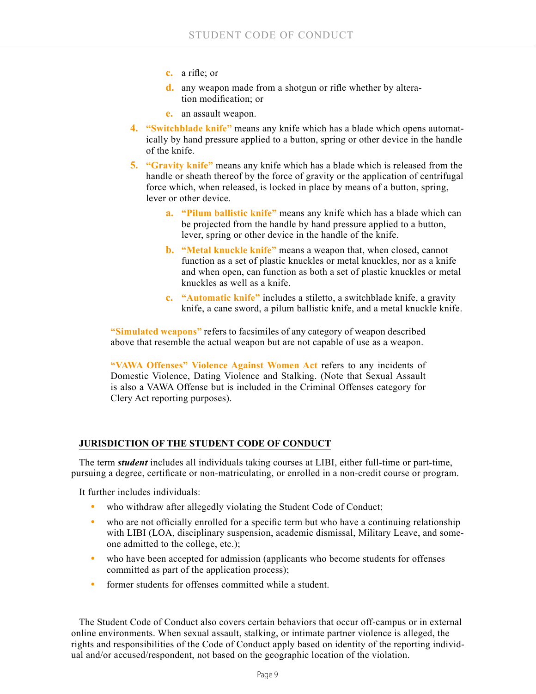- **c.** a rifle; or
- **d.** any weapon made from a shotgun or rifle whether by alteration modification; or
- **e.** an assault weapon.
- **4. "Switchblade knife"** means any knife which has a blade which opens automatically by hand pressure applied to a button, spring or other device in the handle of the knife.
- **5. "Gravity knife"** means any knife which has a blade which is released from the handle or sheath thereof by the force of gravity or the application of centrifugal force which, when released, is locked in place by means of a button, spring, lever or other device.
	- **a. "Pilum ballistic knife"** means any knife which has a blade which can be projected from the handle by hand pressure applied to a button, lever, spring or other device in the handle of the knife.
	- **b. "Metal knuckle knife"** means a weapon that, when closed, cannot function as a set of plastic knuckles or metal knuckles, nor as a knife and when open, can function as both a set of plastic knuckles or metal knuckles as well as a knife.
	- **c. "Automatic knife"** includes a stiletto, a switchblade knife, a gravity knife, a cane sword, a pilum ballistic knife, and a metal knuckle knife.

**"Simulated weapons"** refers to facsimiles of any category of weapon described above that resemble the actual weapon but are not capable of use as a weapon.

**"VAWA Offenses" Violence Against Women Act** refers to any incidents of Domestic Violence, Dating Violence and Stalking. (Note that Sexual Assault is also a VAWA Offense but is included in the Criminal Offenses category for Clery Act reporting purposes).

## **JURISDICTION OF THE STUDENT CODE OF CONDUCT**

The term *student* includes all individuals taking courses at LIBI, either full-time or part-time, pursuing a degree, certificate or non-matriculating, or enrolled in a non-credit course or program.

It further includes individuals:

- who withdraw after allegedly violating the Student Code of Conduct;
- who are not officially enrolled for a specific term but who have a continuing relationship with LIBI (LOA, disciplinary suspension, academic dismissal, Military Leave, and someone admitted to the college, etc.);
- who have been accepted for admission (applicants who become students for offenses committed as part of the application process);
- **•** former students for offenses committed while a student.

The Student Code of Conduct also covers certain behaviors that occur off-campus or in external online environments. When sexual assault, stalking, or intimate partner violence is alleged, the rights and responsibilities of the Code of Conduct apply based on identity of the reporting individual and/or accused/respondent, not based on the geographic location of the violation.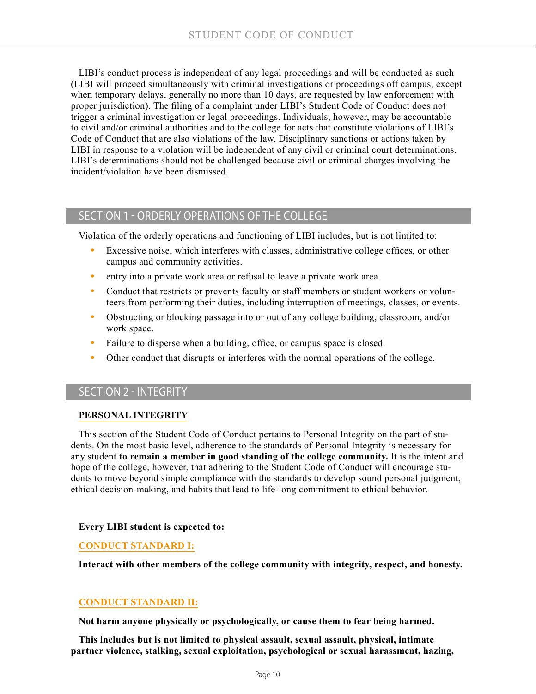LIBI's conduct process is independent of any legal proceedings and will be conducted as such (LIBI will proceed simultaneously with criminal investigations or proceedings off campus, except when temporary delays, generally no more than 10 days, are requested by law enforcement with proper jurisdiction). The filing of a complaint under LIBI's Student Code of Conduct does not trigger a criminal investigation or legal proceedings. Individuals, however, may be accountable to civil and/or criminal authorities and to the college for acts that constitute violations of LIBI's Code of Conduct that are also violations of the law. Disciplinary sanctions or actions taken by LIBI in response to a violation will be independent of any civil or criminal court determinations. LIBI's determinations should not be challenged because civil or criminal charges involving the incident/violation have been dismissed.

## SECTION 1 - ORDERLY OPERATIONS OF THE COLLEGE

Violation of the orderly operations and functioning of LIBI includes, but is not limited to:

- **•** Excessive noise, which interferes with classes, administrative college offices, or other campus and community activities.
- **•** entry into a private work area or refusal to leave a private work area.
- Conduct that restricts or prevents faculty or staff members or student workers or volunteers from performing their duties, including interruption of meetings, classes, or events.
- **•** Obstructing or blocking passage into or out of any college building, classroom, and/or work space.
- **•** Failure to disperse when a building, office, or campus space is closed.
- Other conduct that disrupts or interferes with the normal operations of the college.

# SECTION 2 - INTEGRITY

#### **PERSONAL INTEGRITY**

This section of the Student Code of Conduct pertains to Personal Integrity on the part of students. On the most basic level, adherence to the standards of Personal Integrity is necessary for any student **to remain a member in good standing of the college community.** It is the intent and hope of the college, however, that adhering to the Student Code of Conduct will encourage students to move beyond simple compliance with the standards to develop sound personal judgment, ethical decision-making, and habits that lead to life-long commitment to ethical behavior.

#### **Every LIBI student is expected to:**

#### **CONDUCT STANDARD I:**

**Interact with other members of the college community with integrity, respect, and honesty.**

## **CONDUCT STANDARD II:**

**Not harm anyone physically or psychologically, or cause them to fear being harmed.**

**This includes but is not limited to physical assault, sexual assault, physical, intimate partner violence, stalking, sexual exploitation, psychological or sexual harassment, hazing,**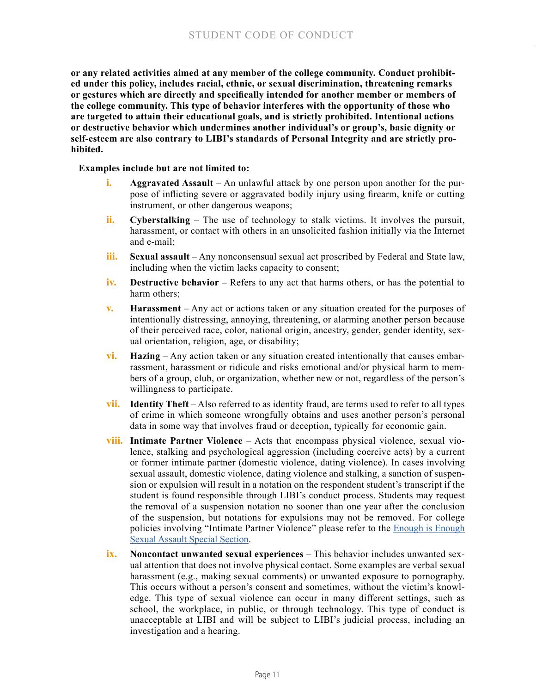**or any related activities aimed at any member of the college community. Conduct prohibited under this policy, includes racial, ethnic, or sexual discrimination, threatening remarks or gestures which are directly and specifically intended for another member or members of the college community. This type of behavior interferes with the opportunity of those who are targeted to attain their educational goals, and is strictly prohibited. Intentional actions or destructive behavior which undermines another individual's or group's, basic dignity or self-esteem are also contrary to LIBI's standards of Personal Integrity and are strictly prohibited.**

#### **Examples include but are not limited to:**

- **i. Aggravated Assault** An unlawful attack by one person upon another for the purpose of inflicting severe or aggravated bodily injury using firearm, knife or cutting instrument, or other dangerous weapons;
- **ii. Cyberstalking** The use of technology to stalk victims. It involves the pursuit, harassment, or contact with others in an unsolicited fashion initially via the Internet and e-mail;
- **iii. Sexual assault** Any nonconsensual sexual act proscribed by Federal and State law, including when the victim lacks capacity to consent;
- **iv. Destructive behavior** Refers to any act that harms others, or has the potential to harm others;
- **v. Harassment** Any act or actions taken or any situation created for the purposes of intentionally distressing, annoying, threatening, or alarming another person because of their perceived race, color, national origin, ancestry, gender, gender identity, sexual orientation, religion, age, or disability;
- **vi. Hazing** Any action taken or any situation created intentionally that causes embarrassment, harassment or ridicule and risks emotional and/or physical harm to members of a group, club, or organization, whether new or not, regardless of the person's willingness to participate.
- **vii. Identity Theft** Also referred to as identity fraud, are terms used to refer to all types of crime in which someone wrongfully obtains and uses another person's personal data in some way that involves fraud or deception, typically for economic gain.
- **viii. Intimate Partner Violence** Acts that encompass physical violence, sexual violence, stalking and psychological aggression (including coercive acts) by a current or former intimate partner (domestic violence, dating violence). In cases involving sexual assault, domestic violence, dating violence and stalking, a sanction of suspension or expulsion will result in a notation on the respondent student's transcript if the student is found responsible through LIBI's conduct process. Students may request the removal of a suspension notation no sooner than one year after the conclusion of the suspension, but notations for expulsions may not be removed. For college policies involving "Intimate Partner Violence" please refer to the **[Enough is Enough](https://issuu.com/longislandbusinessinstitute/docs/enough_is_enough_-_ff?e=15759193/61367658)** [Sexual Assault Special Section](https://issuu.com/longislandbusinessinstitute/docs/enough_is_enough_-_ff?e=15759193/61367658).
- **ix. Noncontact unwanted sexual experiences** This behavior includes unwanted sexual attention that does not involve physical contact. Some examples are verbal sexual harassment (e.g., making sexual comments) or unwanted exposure to pornography. This occurs without a person's consent and sometimes, without the victim's knowledge. This type of sexual violence can occur in many different settings, such as school, the workplace, in public, or through technology. This type of conduct is unacceptable at LIBI and will be subject to LIBI's judicial process, including an investigation and a hearing.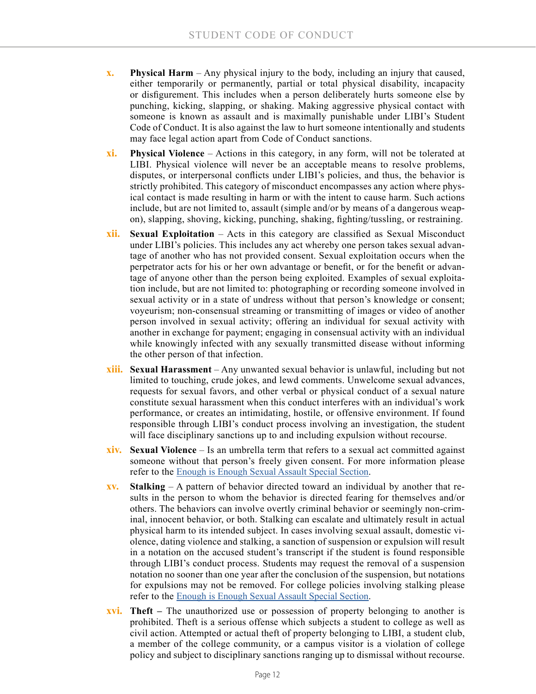- **x. Physical Harm** Any physical injury to the body, including an injury that caused, either temporarily or permanently, partial or total physical disability, incapacity or disfigurement. This includes when a person deliberately hurts someone else by punching, kicking, slapping, or shaking. Making aggressive physical contact with someone is known as assault and is maximally punishable under LIBI's Student Code of Conduct. It is also against the law to hurt someone intentionally and students may face legal action apart from Code of Conduct sanctions.
- **xi. Physical Violence** Actions in this category, in any form, will not be tolerated at LIBI. Physical violence will never be an acceptable means to resolve problems, disputes, or interpersonal conflicts under LIBI's policies, and thus, the behavior is strictly prohibited. This category of misconduct encompasses any action where physical contact is made resulting in harm or with the intent to cause harm. Such actions include, but are not limited to, assault (simple and/or by means of a dangerous weapon), slapping, shoving, kicking, punching, shaking, fighting/tussling, or restraining.
- **xii. Sexual Exploitation** Acts in this category are classified as Sexual Misconduct under LIBI's policies. This includes any act whereby one person takes sexual advantage of another who has not provided consent. Sexual exploitation occurs when the perpetrator acts for his or her own advantage or benefit, or for the benefit or advantage of anyone other than the person being exploited. Examples of sexual exploitation include, but are not limited to: photographing or recording someone involved in sexual activity or in a state of undress without that person's knowledge or consent; voyeurism; non-consensual streaming or transmitting of images or video of another person involved in sexual activity; offering an individual for sexual activity with another in exchange for payment; engaging in consensual activity with an individual while knowingly infected with any sexually transmitted disease without informing the other person of that infection.
- **xiii. Sexual Harassment**  Any unwanted sexual behavior is unlawful, including but not limited to touching, crude jokes, and lewd comments. Unwelcome sexual advances, requests for sexual favors, and other verbal or physical conduct of a sexual nature constitute sexual harassment when this conduct interferes with an individual's work performance, or creates an intimidating, hostile, or offensive environment. If found responsible through LIBI's conduct process involving an investigation, the student will face disciplinary sanctions up to and including expulsion without recourse.
- **xiv. Sexual Violence** Is an umbrella term that refers to a sexual act committed against someone without that person's freely given consent. For more information please refer to the [Enough is Enough Sexual Assault Special Section](https://issuu.com/longislandbusinessinstitute/docs/enough_is_enough_-_ff?e=15759193/61367658).
- **xv. Stalking** A pattern of behavior directed toward an individual by another that results in the person to whom the behavior is directed fearing for themselves and/or others. The behaviors can involve overtly criminal behavior or seemingly non-criminal, innocent behavior, or both. Stalking can escalate and ultimately result in actual physical harm to its intended subject. In cases involving sexual assault, domestic violence, dating violence and stalking, a sanction of suspension or expulsion will result in a notation on the accused student's transcript if the student is found responsible through LIBI's conduct process. Students may request the removal of a suspension notation no sooner than one year after the conclusion of the suspension, but notations for expulsions may not be removed. For college policies involving stalking please refer to the [Enough is Enough Sexual Assault Special Section](https://issuu.com/longislandbusinessinstitute/docs/enough_is_enough_-_ff?e=15759193/61367658).
- **xvi. Theft** The unauthorized use or possession of property belonging to another is prohibited. Theft is a serious offense which subjects a student to college as well as civil action. Attempted or actual theft of property belonging to LIBI, a student club, a member of the college community, or a campus visitor is a violation of college policy and subject to disciplinary sanctions ranging up to dismissal without recourse.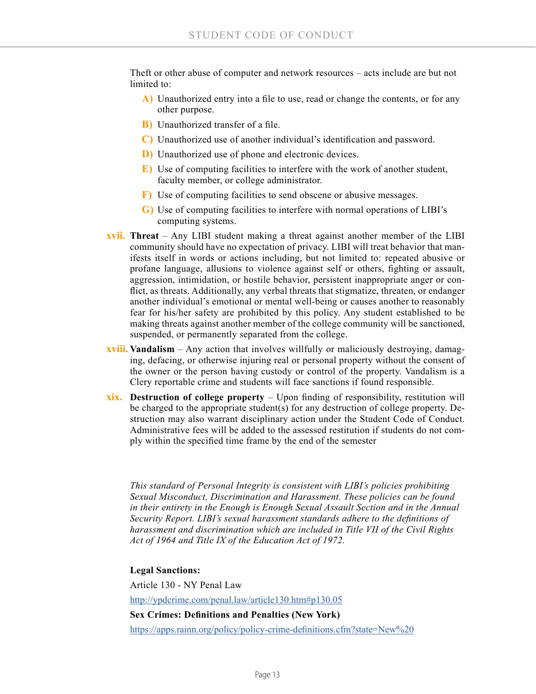Theft or other abuse of computer and network resources – acts include are but not limited to:

- **A)** Unauthorized entry into a file to use, read or change the contents, or for any other purpose.
- **B)** Unauthorized transfer of a file.
- **C)** Unauthorized use of another individual's identification and password.
- **D)** Unauthorized use of phone and electronic devices.
- **E)** Use of computing facilities to interfere with the work of another student, faculty member, or college administrator.
- **F)** Use of computing facilities to send obscene or abusive messages.
- **G)** Use of computing facilities to interfere with normal operations of LIBI's computing systems.
- **xvii. Threat** Any LIBI student making a threat against another member of the LIBI community should have no expectation of privacy. LIBI will treat behavior that manifests itself in words or actions including, but not limited to: repeated abusive or profane language, allusions to violence against self or others, fighting or assault, aggression, intimidation, or hostile behavior, persistent inappropriate anger or conflict, as threats. Additionally, any verbal threats that stigmatize, threaten, or endanger another individual's emotional or mental well-being or causes another to reasonably fear for his/her safety are prohibited by this policy. Any student established to be making threats against another member of the college community will be sanctioned, suspended, or permanently separated from the college.
- **xviii. Vandalism** Any action that involves willfully or maliciously destroying, damaging, defacing, or otherwise injuring real or personal property without the consent of the owner or the person having custody or control of the property. Vandalism is a Clery reportable crime and students will face sanctions if found responsible.
- **xix. Destruction of college property** Upon finding of responsibility, restitution will be charged to the appropriate student(s) for any destruction of college property. Destruction may also warrant disciplinary action under the Student Code of Conduct. Administrative fees will be added to the assessed restitution if students do not comply within the specified time frame by the end of the semester

*This standard of Personal Integrity is consistent with LIBI's policies prohibiting Sexual Misconduct, Discrimination and Harassment. These policies can be found in their entirety in the Enough is Enough Sexual Assault Section and in the Annual Security Report. LIBI's sexual harassment standards adhere to the definitions of harassment and discrimination which are included in Title VII of the Civil Rights Act of 1964 and Title IX of the Education Act of 1972.*

**Legal Sanctions:**

Article 130 - NY Penal Law <http://ypdcrime.com/penal.law/article130.htm#p130.05> **Sex Crimes: Definitions and Penalties (New York)** [https://apps.rainn.org/policy/policy-crime-definitions.cfm?state=New%20](https://apps.rainn.org/policy/policy-crime-definitions.cfm?state=New%20York&group=3)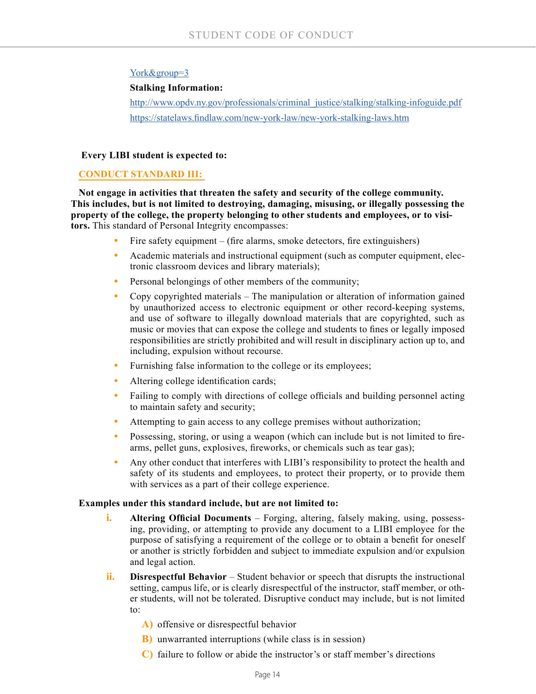## [York&group=3](https://apps.rainn.org/policy/policy-crime-definitions.cfm?state=New%20York&group=3)

#### **Stalking Information:**

http://www.opdv.ny.gov/professionals/criminal\_justice/stalking-stalking-infoguide.pdf [https://statelaws.findlaw.com/new-york-law/new-york-stalking-laws.htm](https://statelaws.findlaw.com/new-york-law/new-york-stalking-laws.html)

#### **Every LIBI student is expected to:**

## **CONDUCT STANDARD III:**

**Not engage in activities that threaten the safety and security of the college community. This includes, but is not limited to destroying, damaging, misusing, or illegally possessing the property of the college, the property belonging to other students and employees, or to visitors.** This standard of Personal Integrity encompasses:

- Fire safety equipment (fire alarms, smoke detectors, fire extinguishers)
- **•** Academic materials and instructional equipment (such as computer equipment, electronic classroom devices and library materials);
- **•** Personal belongings of other members of the community;
- **•** Copy copyrighted materials The manipulation or alteration of information gained by unauthorized access to electronic equipment or other record-keeping systems, and use of software to illegally download materials that are copyrighted, such as music or movies that can expose the college and students to fines or legally imposed responsibilities are strictly prohibited and will result in disciplinary action up to, and including, expulsion without recourse.
- **•** Furnishing false information to the college or its employees;
- Altering college identification cards;
- Failing to comply with directions of college officials and building personnel acting to maintain safety and security;
- **•** Attempting to gain access to any college premises without authorization;
- **•** Possessing, storing, or using a weapon (which can include but is not limited to firearms, pellet guns, explosives, fireworks, or chemicals such as tear gas);
- **•** Any other conduct that interferes with LIBI's responsibility to protect the health and safety of its students and employees, to protect their property, or to provide them with services as a part of their college experience.

#### **Examples under this standard include, but are not limited to:**

- **i. Altering Official Documents** Forging, altering, falsely making, using, possessing, providing, or attempting to provide any document to a LIBI employee for the purpose of satisfying a requirement of the college or to obtain a benefit for oneself or another is strictly forbidden and subject to immediate expulsion and/or expulsion and legal action.
- **ii. Disrespectful Behavior** Student behavior or speech that disrupts the instructional setting, campus life, or is clearly disrespectful of the instructor, staff member, or other students, will not be tolerated. Disruptive conduct may include, but is not limited to:
	- **A)** offensive or disrespectful behavior
	- **B)** unwarranted interruptions (while class is in session)
	- **C)** failure to follow or abide the instructor's or staff member's directions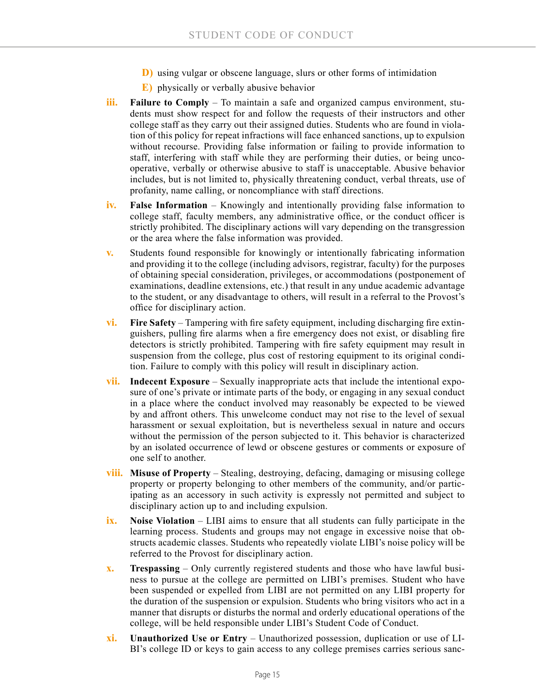- **D)** using vulgar or obscene language, slurs or other forms of intimidation
- **E)** physically or verbally abusive behavior
- **iii. Failure to Comply** To maintain a safe and organized campus environment, students must show respect for and follow the requests of their instructors and other college staff as they carry out their assigned duties. Students who are found in violation of this policy for repeat infractions will face enhanced sanctions, up to expulsion without recourse. Providing false information or failing to provide information to staff, interfering with staff while they are performing their duties, or being uncooperative, verbally or otherwise abusive to staff is unacceptable. Abusive behavior includes, but is not limited to, physically threatening conduct, verbal threats, use of profanity, name calling, or noncompliance with staff directions.
- **iv. False Information** Knowingly and intentionally providing false information to college staff, faculty members, any administrative office, or the conduct officer is strictly prohibited. The disciplinary actions will vary depending on the transgression or the area where the false information was provided.
- **v.** Students found responsible for knowingly or intentionally fabricating information and providing it to the college (including advisors, registrar, faculty) for the purposes of obtaining special consideration, privileges, or accommodations (postponement of examinations, deadline extensions, etc.) that result in any undue academic advantage to the student, or any disadvantage to others, will result in a referral to the Provost's office for disciplinary action.
- **vi. Fire Safety** Tampering with fire safety equipment, including discharging fire extinguishers, pulling fire alarms when a fire emergency does not exist, or disabling fire detectors is strictly prohibited. Tampering with fire safety equipment may result in suspension from the college, plus cost of restoring equipment to its original condition. Failure to comply with this policy will result in disciplinary action.
- **vii. Indecent Exposure** Sexually inappropriate acts that include the intentional exposure of one's private or intimate parts of the body, or engaging in any sexual conduct in a place where the conduct involved may reasonably be expected to be viewed by and affront others. This unwelcome conduct may not rise to the level of sexual harassment or sexual exploitation, but is nevertheless sexual in nature and occurs without the permission of the person subjected to it. This behavior is characterized by an isolated occurrence of lewd or obscene gestures or comments or exposure of one self to another.
- **viii. Misuse of Property** Stealing, destroying, defacing, damaging or misusing college property or property belonging to other members of the community, and/or participating as an accessory in such activity is expressly not permitted and subject to disciplinary action up to and including expulsion.
- **ix. Noise Violation** LIBI aims to ensure that all students can fully participate in the learning process. Students and groups may not engage in excessive noise that obstructs academic classes. Students who repeatedly violate LIBI's noise policy will be referred to the Provost for disciplinary action.
- **x. Trespassing** Only currently registered students and those who have lawful business to pursue at the college are permitted on LIBI's premises. Student who have been suspended or expelled from LIBI are not permitted on any LIBI property for the duration of the suspension or expulsion. Students who bring visitors who act in a manner that disrupts or disturbs the normal and orderly educational operations of the college, will be held responsible under LIBI's Student Code of Conduct.
- **xi. Unauthorized Use or Entry** Unauthorized possession, duplication or use of LI-BI's college ID or keys to gain access to any college premises carries serious sanc-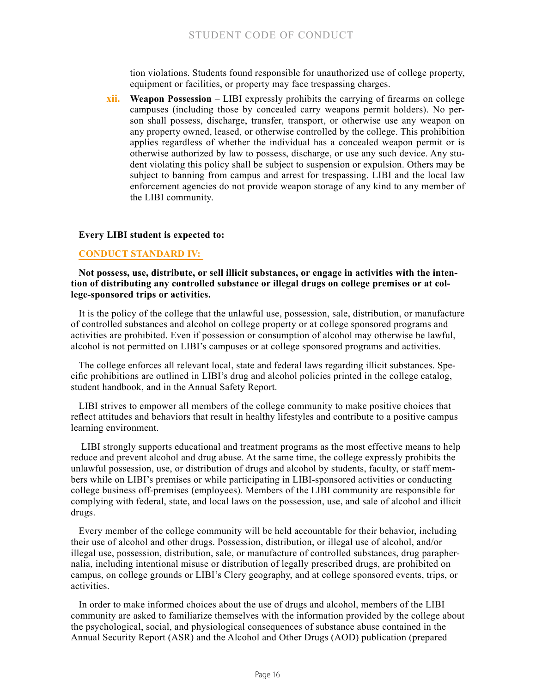tion violations. Students found responsible for unauthorized use of college property, equipment or facilities, or property may face trespassing charges.

**xii. Weapon Possession** – LIBI expressly prohibits the carrying of firearms on college campuses (including those by concealed carry weapons permit holders). No person shall possess, discharge, transfer, transport, or otherwise use any weapon on any property owned, leased, or otherwise controlled by the college. This prohibition applies regardless of whether the individual has a concealed weapon permit or is otherwise authorized by law to possess, discharge, or use any such device. Any student violating this policy shall be subject to suspension or expulsion. Others may be subject to banning from campus and arrest for trespassing. LIBI and the local law enforcement agencies do not provide weapon storage of any kind to any member of the LIBI community.

#### **Every LIBI student is expected to:**

#### **CONDUCT STANDARD IV:**

**Not possess, use, distribute, or sell illicit substances, or engage in activities with the intention of distributing any controlled substance or illegal drugs on college premises or at college-sponsored trips or activities.**

It is the policy of the college that the unlawful use, possession, sale, distribution, or manufacture of controlled substances and alcohol on college property or at college sponsored programs and activities are prohibited. Even if possession or consumption of alcohol may otherwise be lawful, alcohol is not permitted on LIBI's campuses or at college sponsored programs and activities.

The college enforces all relevant local, state and federal laws regarding illicit substances. Specific prohibitions are outlined in LIBI's drug and alcohol policies printed in the college catalog, student handbook, and in the Annual Safety Report.

LIBI strives to empower all members of the college community to make positive choices that reflect attitudes and behaviors that result in healthy lifestyles and contribute to a positive campus learning environment.

 LIBI strongly supports educational and treatment programs as the most effective means to help reduce and prevent alcohol and drug abuse. At the same time, the college expressly prohibits the unlawful possession, use, or distribution of drugs and alcohol by students, faculty, or staff members while on LIBI's premises or while participating in LIBI-sponsored activities or conducting college business off-premises (employees). Members of the LIBI community are responsible for complying with federal, state, and local laws on the possession, use, and sale of alcohol and illicit drugs.

Every member of the college community will be held accountable for their behavior, including their use of alcohol and other drugs. Possession, distribution, or illegal use of alcohol, and/or illegal use, possession, distribution, sale, or manufacture of controlled substances, drug paraphernalia, including intentional misuse or distribution of legally prescribed drugs, are prohibited on campus, on college grounds or LIBI's Clery geography, and at college sponsored events, trips, or activities.

In order to make informed choices about the use of drugs and alcohol, members of the LIBI community are asked to familiarize themselves with the information provided by the college about the psychological, social, and physiological consequences of substance abuse contained in the Annual Security Report (ASR) and the Alcohol and Other Drugs (AOD) publication (prepared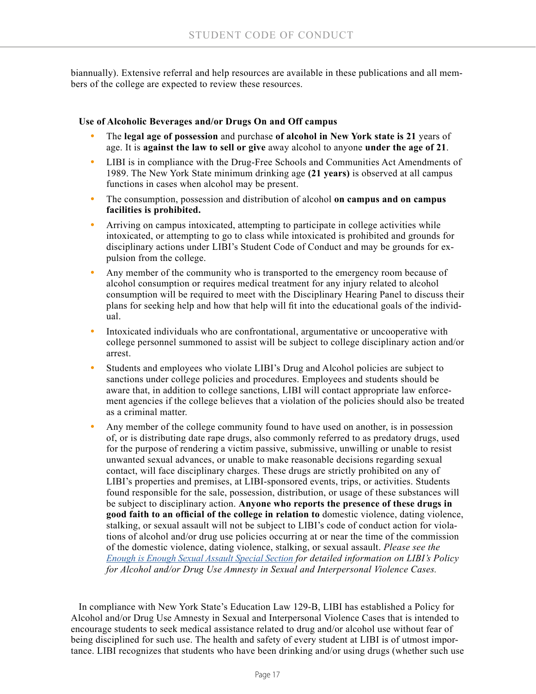biannually). Extensive referral and help resources are available in these publications and all members of the college are expected to review these resources.

#### **Use of Alcoholic Beverages and/or Drugs On and Off campus**

- **•** The **legal age of possession** and purchase **of alcohol in New York state is 21** years of age. It is **against the law to sell or give** away alcohol to anyone **under the age of 21**.
- **•** LIBI is in compliance with the Drug-Free Schools and Communities Act Amendments of 1989. The New York State minimum drinking age **(21 years)** is observed at all campus functions in cases when alcohol may be present.
- **•** The consumption, possession and distribution of alcohol **on campus and on campus facilities is prohibited.**
- **•** Arriving on campus intoxicated, attempting to participate in college activities while intoxicated, or attempting to go to class while intoxicated is prohibited and grounds for disciplinary actions under LIBI's Student Code of Conduct and may be grounds for expulsion from the college.
- **•** Any member of the community who is transported to the emergency room because of alcohol consumption or requires medical treatment for any injury related to alcohol consumption will be required to meet with the Disciplinary Hearing Panel to discuss their plans for seeking help and how that help will fit into the educational goals of the individual.
- **•** Intoxicated individuals who are confrontational, argumentative or uncooperative with college personnel summoned to assist will be subject to college disciplinary action and/or arrest.
- **•** Students and employees who violate LIBI's Drug and Alcohol policies are subject to sanctions under college policies and procedures. Employees and students should be aware that, in addition to college sanctions, LIBI will contact appropriate law enforcement agencies if the college believes that a violation of the policies should also be treated as a criminal matter.
- **•** Any member of the college community found to have used on another, is in possession of, or is distributing date rape drugs, also commonly referred to as predatory drugs, used for the purpose of rendering a victim passive, submissive, unwilling or unable to resist unwanted sexual advances, or unable to make reasonable decisions regarding sexual contact, will face disciplinary charges. These drugs are strictly prohibited on any of LIBI's properties and premises, at LIBI-sponsored events, trips, or activities. Students found responsible for the sale, possession, distribution, or usage of these substances will be subject to disciplinary action. **Anyone who reports the presence of these drugs in good faith to an official of the college in relation to** domestic violence, dating violence, stalking, or sexual assault will not be subject to LIBI's code of conduct action for violations of alcohol and/or drug use policies occurring at or near the time of the commission of the domestic violence, dating violence, stalking, or sexual assault. *Please see the [Enough is Enough Sexual Assault Special Section](https://issuu.com/longislandbusinessinstitute/docs/enough_is_enough_-_ff?e=15759193/61367658) for detailed information on LIBI's Policy for Alcohol and/or Drug Use Amnesty in Sexual and Interpersonal Violence Cases.*

In compliance with New York State's Education Law 129-B, LIBI has established a Policy for Alcohol and/or Drug Use Amnesty in Sexual and Interpersonal Violence Cases that is intended to encourage students to seek medical assistance related to drug and/or alcohol use without fear of being disciplined for such use. The health and safety of every student at LIBI is of utmost importance. LIBI recognizes that students who have been drinking and/or using drugs (whether such use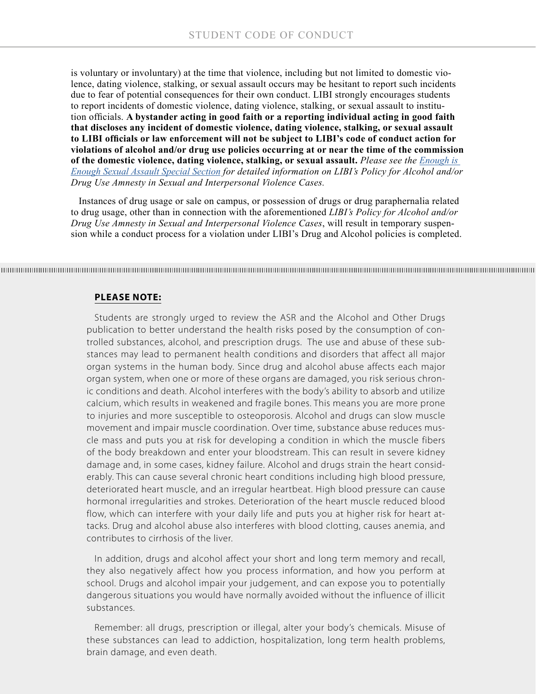is voluntary or involuntary) at the time that violence, including but not limited to domestic violence, dating violence, stalking, or sexual assault occurs may be hesitant to report such incidents due to fear of potential consequences for their own conduct. LIBI strongly encourages students to report incidents of domestic violence, dating violence, stalking, or sexual assault to institution officials. **A bystander acting in good faith or a reporting individual acting in good faith that discloses any incident of domestic violence, dating violence, stalking, or sexual assault to LIBI officials or law enforcement will not be subject to LIBI's code of conduct action for violations of alcohol and/or drug use policies occurring at or near the time of the commission of the domestic violence, dating violence, stalking, or sexual assault.** *Please see the [Enough is](https://issuu.com/longislandbusinessinstitute/docs/enough_is_enough_-_ff?e=15759193/61367658)  [Enough Sexual Assault Special Section](https://issuu.com/longislandbusinessinstitute/docs/enough_is_enough_-_ff?e=15759193/61367658) for detailed information on LIBI's Policy for Alcohol and/or Drug Use Amnesty in Sexual and Interpersonal Violence Cases.*

Instances of drug usage or sale on campus, or possession of drugs or drug paraphernalia related to drug usage, other than in connection with the aforementioned *LIBI's Policy for Alcohol and/or Drug Use Amnesty in Sexual and Interpersonal Violence Cases*, will result in temporary suspension while a conduct process for a violation under LIBI's Drug and Alcohol policies is completed.

#### **PLEASE NOTE:**

Students are strongly urged to review the ASR and the Alcohol and Other Drugs publication to better understand the health risks posed by the consumption of controlled substances, alcohol, and prescription drugs. The use and abuse of these substances may lead to permanent health conditions and disorders that affect all major organ systems in the human body. Since drug and alcohol abuse affects each major organ system, when one or more of these organs are damaged, you risk serious chronic conditions and death. Alcohol interferes with the body's ability to absorb and utilize calcium, which results in weakened and fragile bones. This means you are more prone to injuries and more susceptible to osteoporosis. Alcohol and drugs can slow muscle movement and impair muscle coordination. Over time, substance abuse reduces muscle mass and puts you at risk for developing a condition in which the muscle fibers of the body breakdown and enter your bloodstream. This can result in severe kidney damage and, in some cases, kidney failure. Alcohol and drugs strain the heart considerably. This can cause several chronic heart conditions including high blood pressure, deteriorated heart muscle, and an irregular heartbeat. High blood pressure can cause hormonal irregularities and strokes. Deterioration of the heart muscle reduced blood flow, which can interfere with your daily life and puts you at higher risk for heart attacks. Drug and alcohol abuse also interferes with blood clotting, causes anemia, and contributes to cirrhosis of the liver.

In addition, drugs and alcohol affect your short and long term memory and recall, they also negatively affect how you process information, and how you perform at school. Drugs and alcohol impair your judgement, and can expose you to potentially dangerous situations you would have normally avoided without the influence of illicit substances.

Remember: all drugs, prescription or illegal, alter your body's chemicals. Misuse of these substances can lead to addiction, hospitalization, long term health problems, brain damage, and even death.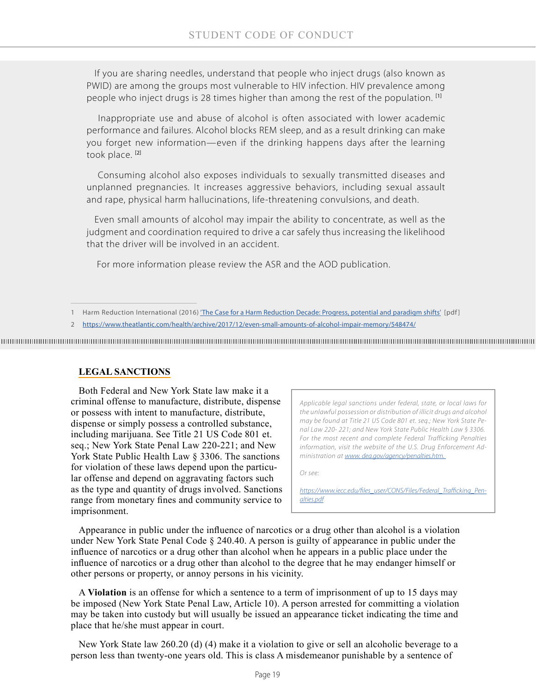If you are sharing needles, understand that people who inject drugs (also known as PWID) are among the groups most vulnerable to HIV infection. HIV prevalence among people who inject drugs is 28 times higher than among the rest of the population. <sup>[1]</sup>

 Inappropriate use and abuse of alcohol is often associated with lower academic performance and failures. Alcohol blocks REM sleep, and as a result drinking can make you forget new information—even if the drinking happens days after the learning took place.<sup>[2]</sup>

 Consuming alcohol also exposes individuals to sexually transmitted diseases and unplanned pregnancies. It increases aggressive behaviors, including sexual assault and rape, physical harm hallucinations, life-threatening convulsions, and death.

Even small amounts of alcohol may impair the ability to concentrate, as well as the judgment and coordination required to drive a car safely thus increasing the likelihood that the driver will be involved in an accident.

For more information please review the ASR and the AOD publication.

2 <https://www.theatlantic.com/health/archive/2017/12/even-small-amounts-of-alcohol-impair-memory/548474/>

#### **LEGAL SANCTIONS**

Both Federal and New York State law make it a criminal offense to manufacture, distribute, dispense or possess with intent to manufacture, distribute, dispense or simply possess a controlled substance, including marijuana. See Title 21 US Code 801 et. seq.; New York State Penal Law 220-221; and New York State Public Health Law § 3306. The sanctions for violation of these laws depend upon the particular offense and depend on aggravating factors such as the type and quantity of drugs involved. Sanctions range from monetary fines and community service to imprisonment.

*Applicable legal sanctions under federal, state, or local laws for the unlawful possession or distribution of illicit drugs and alcohol may be found at Title 21 US Code 801 et. seq.; New York State Penal Law 220- 221; and New York State Public Health Law § 3306. For the most recent and complete Federal Trafficking Penalties information, visit the website of the U.S. Drug Enforcement Administration at [www. dea.gov/agency/penalties.htm.](http://www. dea.gov/agency/penalties.htm.  )* 

*Or see:*

*[https://www.iecc.edu/files\\_user/CONS/Files/Federal\\_Trafficking\\_Pen](https://www.iecc.edu/files_user/CONS/Files/Federal_Trafficking_Penalties.pdf)[alties.pdf](https://www.iecc.edu/files_user/CONS/Files/Federal_Trafficking_Penalties.pdf)*

Appearance in public under the influence of narcotics or a drug other than alcohol is a violation under New York State Penal Code § 240.40. A person is guilty of appearance in public under the influence of narcotics or a drug other than alcohol when he appears in a public place under the influence of narcotics or a drug other than alcohol to the degree that he may endanger himself or other persons or property, or annoy persons in his vicinity.

A **Violation** is an offense for which a sentence to a term of imprisonment of up to 15 days may be imposed (New York State Penal Law, Article 10). A person arrested for committing a violation may be taken into custody but will usually be issued an appearance ticket indicating the time and place that he/she must appear in court.

New York State law 260.20 (d) (4) make it a violation to give or sell an alcoholic beverage to a person less than twenty-one years old. This is class A misdemeanor punishable by a sentence of

<sup>1</sup> Harm Reduction International (2016) ['The Case for a Harm Reduction Decade: Progress, potential and paradigm shifts'](https://www.hri.global/files/2016/03/10/Report_The_Case_for_a_Harm_Reduction_Decade.pdf) [pdf ]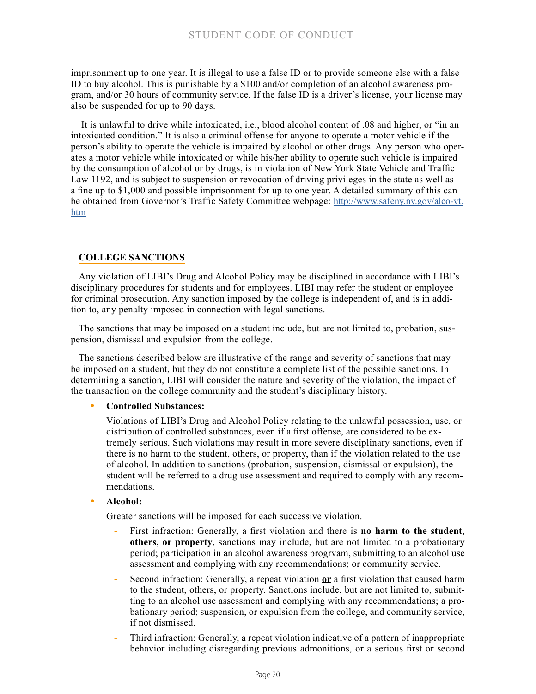imprisonment up to one year. It is illegal to use a false ID or to provide someone else with a false ID to buy alcohol. This is punishable by a \$100 and/or completion of an alcohol awareness program, and/or 30 hours of community service. If the false ID is a driver's license, your license may also be suspended for up to 90 days.

 It is unlawful to drive while intoxicated, i.e., blood alcohol content of .08 and higher, or "in an intoxicated condition." It is also a criminal offense for anyone to operate a motor vehicle if the person's ability to operate the vehicle is impaired by alcohol or other drugs. Any person who operates a motor vehicle while intoxicated or while his/her ability to operate such vehicle is impaired by the consumption of alcohol or by drugs, is in violation of New York State Vehicle and Traffic Law 1192, and is subject to suspension or revocation of driving privileges in the state as well as a fine up to \$1,000 and possible imprisonment for up to one year. A detailed summary of this can be obtained from Governor's Traffic Safety Committee webpage: [http://www.safeny.ny.gov/alco-vt.](http://www.safeny.ny.gov/alco-vt.htm) [htm](http://www.safeny.ny.gov/alco-vt.htm)

## **COLLEGE SANCTIONS**

Any violation of LIBI's Drug and Alcohol Policy may be disciplined in accordance with LIBI's disciplinary procedures for students and for employees. LIBI may refer the student or employee for criminal prosecution. Any sanction imposed by the college is independent of, and is in addition to, any penalty imposed in connection with legal sanctions.

The sanctions that may be imposed on a student include, but are not limited to, probation, suspension, dismissal and expulsion from the college.

The sanctions described below are illustrative of the range and severity of sanctions that may be imposed on a student, but they do not constitute a complete list of the possible sanctions. In determining a sanction, LIBI will consider the nature and severity of the violation, the impact of the transaction on the college community and the student's disciplinary history.

#### **• Controlled Substances:**

Violations of LIBI's Drug and Alcohol Policy relating to the unlawful possession, use, or distribution of controlled substances, even if a first offense, are considered to be extremely serious. Such violations may result in more severe disciplinary sanctions, even if there is no harm to the student, others, or property, than if the violation related to the use of alcohol. In addition to sanctions (probation, suspension, dismissal or expulsion), the student will be referred to a drug use assessment and required to comply with any recommendations.

#### **• Alcohol:**

Greater sanctions will be imposed for each successive violation.

- **-** First infraction: Generally, a first violation and there is **no harm to the student, others, or property**, sanctions may include, but are not limited to a probationary period; participation in an alcohol awareness progrvam, submitting to an alcohol use assessment and complying with any recommendations; or community service.
- **-** Second infraction: Generally, a repeat violation **or** a first violation that caused harm to the student, others, or property. Sanctions include, but are not limited to, submitting to an alcohol use assessment and complying with any recommendations; a probationary period; suspension, or expulsion from the college, and community service, if not dismissed.
- **-** Third infraction: Generally, a repeat violation indicative of a pattern of inappropriate behavior including disregarding previous admonitions, or a serious first or second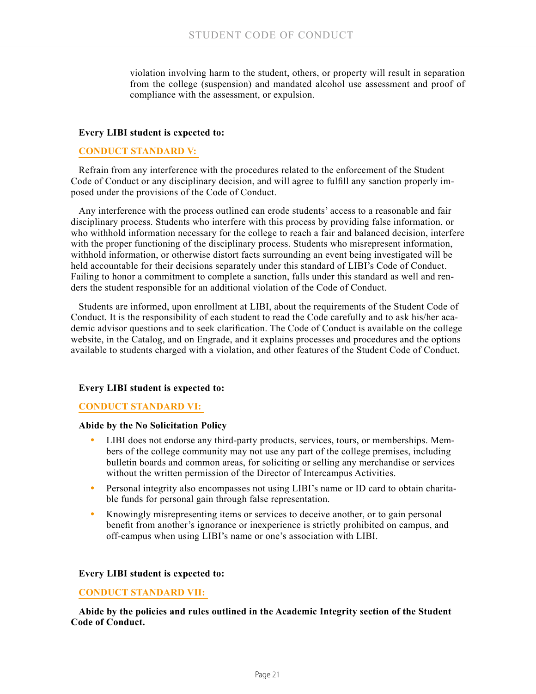violation involving harm to the student, others, or property will result in separation from the college (suspension) and mandated alcohol use assessment and proof of compliance with the assessment, or expulsion.

#### **Every LIBI student is expected to:**

#### **CONDUCT STANDARD V:**

Refrain from any interference with the procedures related to the enforcement of the Student Code of Conduct or any disciplinary decision, and will agree to fulfill any sanction properly imposed under the provisions of the Code of Conduct.

Any interference with the process outlined can erode students' access to a reasonable and fair disciplinary process. Students who interfere with this process by providing false information, or who withhold information necessary for the college to reach a fair and balanced decision, interfere with the proper functioning of the disciplinary process. Students who misrepresent information, withhold information, or otherwise distort facts surrounding an event being investigated will be held accountable for their decisions separately under this standard of LIBI's Code of Conduct. Failing to honor a commitment to complete a sanction, falls under this standard as well and renders the student responsible for an additional violation of the Code of Conduct.

Students are informed, upon enrollment at LIBI, about the requirements of the Student Code of Conduct. It is the responsibility of each student to read the Code carefully and to ask his/her academic advisor questions and to seek clarification. The Code of Conduct is available on the college website, in the Catalog, and on Engrade, and it explains processes and procedures and the options available to students charged with a violation, and other features of the Student Code of Conduct.

#### **Every LIBI student is expected to:**

#### **CONDUCT STANDARD VI:**

#### **Abide by the No Solicitation Policy**

- **•** LIBI does not endorse any third-party products, services, tours, or memberships. Members of the college community may not use any part of the college premises, including bulletin boards and common areas, for soliciting or selling any merchandise or services without the written permission of the Director of Intercampus Activities.
- **•** Personal integrity also encompasses not using LIBI's name or ID card to obtain charitable funds for personal gain through false representation.
- Knowingly misrepresenting items or services to deceive another, or to gain personal benefit from another's ignorance or inexperience is strictly prohibited on campus, and off-campus when using LIBI's name or one's association with LIBI.

#### **Every LIBI student is expected to:**

#### **CONDUCT STANDARD VII:**

**Abide by the policies and rules outlined in the Academic Integrity section of the Student Code of Conduct.**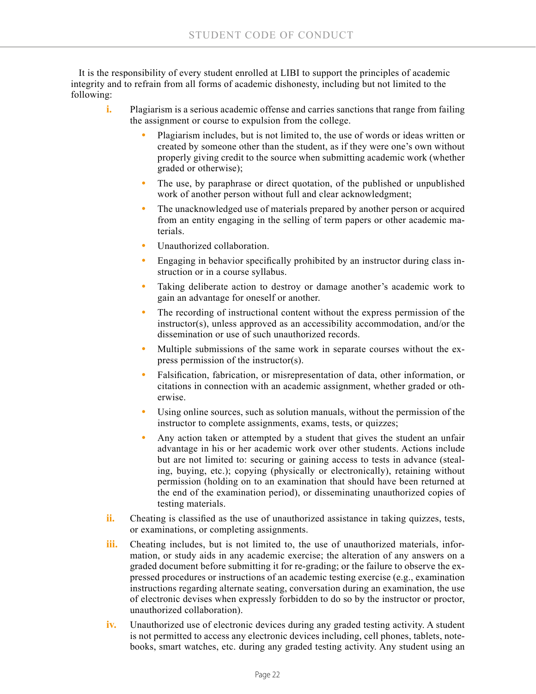It is the responsibility of every student enrolled at LIBI to support the principles of academic integrity and to refrain from all forms of academic dishonesty, including but not limited to the following:

- **i.** Plagiarism is a serious academic offense and carries sanctions that range from failing the assignment or course to expulsion from the college.
	- **•** Plagiarism includes, but is not limited to, the use of words or ideas written or created by someone other than the student, as if they were one's own without properly giving credit to the source when submitting academic work (whether graded or otherwise);
	- **•** The use, by paraphrase or direct quotation, of the published or unpublished work of another person without full and clear acknowledgment;
	- **•** The unacknowledged use of materials prepared by another person or acquired from an entity engaging in the selling of term papers or other academic materials.
	- **•** Unauthorized collaboration.
	- **•** Engaging in behavior specifically prohibited by an instructor during class instruction or in a course syllabus.
	- **•** Taking deliberate action to destroy or damage another's academic work to gain an advantage for oneself or another.
	- **•** The recording of instructional content without the express permission of the instructor(s), unless approved as an accessibility accommodation, and/or the dissemination or use of such unauthorized records.
	- **•** Multiple submissions of the same work in separate courses without the express permission of the instructor(s).
	- **•** Falsification, fabrication, or misrepresentation of data, other information, or citations in connection with an academic assignment, whether graded or otherwise.
	- **•** Using online sources, such as solution manuals, without the permission of the instructor to complete assignments, exams, tests, or quizzes;
	- **•** Any action taken or attempted by a student that gives the student an unfair advantage in his or her academic work over other students. Actions include but are not limited to: securing or gaining access to tests in advance (stealing, buying, etc.); copying (physically or electronically), retaining without permission (holding on to an examination that should have been returned at the end of the examination period), or disseminating unauthorized copies of testing materials.
- **ii.** Cheating is classified as the use of unauthorized assistance in taking quizzes, tests, or examinations, or completing assignments.
- iii. Cheating includes, but is not limited to, the use of unauthorized materials, information, or study aids in any academic exercise; the alteration of any answers on a graded document before submitting it for re-grading; or the failure to observe the expressed procedures or instructions of an academic testing exercise (e.g., examination instructions regarding alternate seating, conversation during an examination, the use of electronic devises when expressly forbidden to do so by the instructor or proctor, unauthorized collaboration).
- **iv.** Unauthorized use of electronic devices during any graded testing activity. A student is not permitted to access any electronic devices including, cell phones, tablets, notebooks, smart watches, etc. during any graded testing activity. Any student using an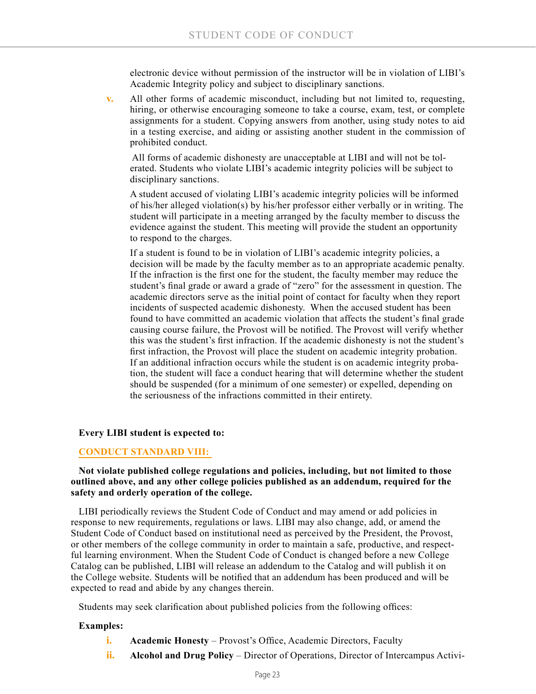electronic device without permission of the instructor will be in violation of LIBI's Academic Integrity policy and subject to disciplinary sanctions.

**v.** All other forms of academic misconduct, including but not limited to, requesting, hiring, or otherwise encouraging someone to take a course, exam, test, or complete assignments for a student. Copying answers from another, using study notes to aid in a testing exercise, and aiding or assisting another student in the commission of prohibited conduct.

 All forms of academic dishonesty are unacceptable at LIBI and will not be tolerated. Students who violate LIBI's academic integrity policies will be subject to disciplinary sanctions.

A student accused of violating LIBI's academic integrity policies will be informed of his/her alleged violation(s) by his/her professor either verbally or in writing. The student will participate in a meeting arranged by the faculty member to discuss the evidence against the student. This meeting will provide the student an opportunity to respond to the charges.

If a student is found to be in violation of LIBI's academic integrity policies, a decision will be made by the faculty member as to an appropriate academic penalty. If the infraction is the first one for the student, the faculty member may reduce the student's final grade or award a grade of "zero" for the assessment in question. The academic directors serve as the initial point of contact for faculty when they report incidents of suspected academic dishonesty. When the accused student has been found to have committed an academic violation that affects the student's final grade causing course failure, the Provost will be notified. The Provost will verify whether this was the student's first infraction. If the academic dishonesty is not the student's first infraction, the Provost will place the student on academic integrity probation. If an additional infraction occurs while the student is on academic integrity probation, the student will face a conduct hearing that will determine whether the student should be suspended (for a minimum of one semester) or expelled, depending on the seriousness of the infractions committed in their entirety.

#### **Every LIBI student is expected to:**

#### **CONDUCT STANDARD VIII:**

#### **Not violate published college regulations and policies, including, but not limited to those outlined above, and any other college policies published as an addendum, required for the safety and orderly operation of the college.**

LIBI periodically reviews the Student Code of Conduct and may amend or add policies in response to new requirements, regulations or laws. LIBI may also change, add, or amend the Student Code of Conduct based on institutional need as perceived by the President, the Provost, or other members of the college community in order to maintain a safe, productive, and respectful learning environment. When the Student Code of Conduct is changed before a new College Catalog can be published, LIBI will release an addendum to the Catalog and will publish it on the College website. Students will be notified that an addendum has been produced and will be expected to read and abide by any changes therein.

Students may seek clarification about published policies from the following offices:

#### **Examples:**

- **i. Academic Honesty** Provost's Office, Academic Directors, Faculty
- **ii. Alcohol and Drug Policy** Director of Operations, Director of Intercampus Activi-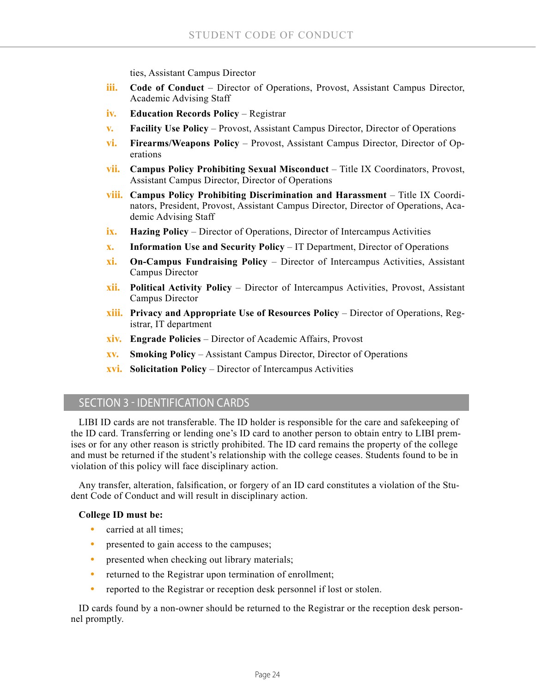ties, Assistant Campus Director

- **iii. Code of Conduct** Director of Operations, Provost, Assistant Campus Director, Academic Advising Staff
- **iv. Education Records Policy** Registrar
- **v. Facility Use Policy** Provost, Assistant Campus Director, Director of Operations
- **vi. Firearms/Weapons Policy** Provost, Assistant Campus Director, Director of Operations
- **vii. Campus Policy Prohibiting Sexual Misconduct**  Title IX Coordinators, Provost, Assistant Campus Director, Director of Operations
- **viii. Campus Policy Prohibiting Discrimination and Harassment** Title IX Coordinators, President, Provost, Assistant Campus Director, Director of Operations, Academic Advising Staff
- **ix. Hazing Policy** Director of Operations, Director of Intercampus Activities
- **x. Information Use and Security Policy** IT Department, Director of Operations
- **xi. On-Campus Fundraising Policy** Director of Intercampus Activities, Assistant Campus Director
- **xii. Political Activity Policy** Director of Intercampus Activities, Provost, Assistant Campus Director
- **xiii. Privacy and Appropriate Use of Resources Policy** Director of Operations, Registrar, IT department
- **xiv. Engrade Policies** Director of Academic Affairs, Provost
- **xv. Smoking Policy** Assistant Campus Director, Director of Operations
- **xvi. Solicitation Policy** Director of Intercampus Activities

## SECTION 3 - IDENTIFICATION CARDS

LIBI ID cards are not transferable. The ID holder is responsible for the care and safekeeping of the ID card. Transferring or lending one's ID card to another person to obtain entry to LIBI premises or for any other reason is strictly prohibited. The ID card remains the property of the college and must be returned if the student's relationship with the college ceases. Students found to be in violation of this policy will face disciplinary action.

Any transfer, alteration, falsification, or forgery of an ID card constitutes a violation of the Student Code of Conduct and will result in disciplinary action.

#### **College ID must be:**

- **•** carried at all times;
- presented to gain access to the campuses;
- presented when checking out library materials;
- returned to the Registrar upon termination of enrollment;
- **•** reported to the Registrar or reception desk personnel if lost or stolen.

ID cards found by a non-owner should be returned to the Registrar or the reception desk personnel promptly.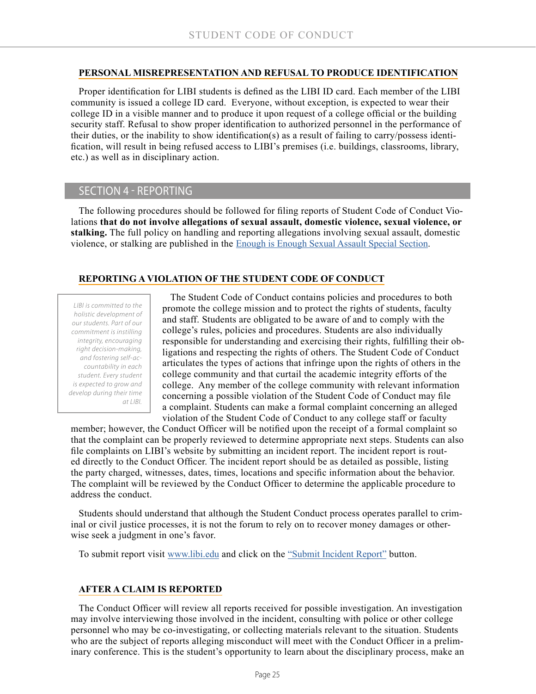#### **PERSONAL MISREPRESENTATION AND REFUSAL TO PRODUCE IDENTIFICATION**

Proper identification for LIBI students is defined as the LIBI ID card. Each member of the LIBI community is issued a college ID card. Everyone, without exception, is expected to wear their college ID in a visible manner and to produce it upon request of a college official or the building security staff. Refusal to show proper identification to authorized personnel in the performance of their duties, or the inability to show identification(s) as a result of failing to carry/possess identification, will result in being refused access to LIBI's premises (i.e. buildings, classrooms, library, etc.) as well as in disciplinary action.

## SECTION 4 - REPORTING

The following procedures should be followed for filing reports of Student Code of Conduct Violations **that do not involve allegations of sexual assault, domestic violence, sexual violence, or stalking.** The full policy on handling and reporting allegations involving sexual assault, domestic violence, or stalking are published in the [Enough is Enough Sexual Assault Special Section](https://issuu.com/longislandbusinessinstitute/docs/enough_is_enough_-_ff?e=15759193/61367658).

## **REPORTING A VIOLATION OF THE STUDENT CODE OF CONDUCT**

*LIBI is committed to the holistic development of our students. Part of our commitment is instilling integrity, encouraging right decision-making, and fostering self-accountability in each student. Every student is expected to grow and develop during their time at LIBI.*

The Student Code of Conduct contains policies and procedures to both promote the college mission and to protect the rights of students, faculty and staff. Students are obligated to be aware of and to comply with the college's rules, policies and procedures. Students are also individually responsible for understanding and exercising their rights, fulfilling their obligations and respecting the rights of others. The Student Code of Conduct articulates the types of actions that infringe upon the rights of others in the college community and that curtail the academic integrity efforts of the college. Any member of the college community with relevant information concerning a possible violation of the Student Code of Conduct may file a complaint. Students can make a formal complaint concerning an alleged violation of the Student Code of Conduct to any college staff or faculty

member; however, the Conduct Officer will be notified upon the receipt of a formal complaint so that the complaint can be properly reviewed to determine appropriate next steps. Students can also file complaints on LIBI's website by submitting an incident report. The incident report is routed directly to the Conduct Officer. The incident report should be as detailed as possible, listing the party charged, witnesses, dates, times, locations and specific information about the behavior. The complaint will be reviewed by the Conduct Officer to determine the applicable procedure to address the conduct.

Students should understand that although the Student Conduct process operates parallel to criminal or civil justice processes, it is not the forum to rely on to recover money damages or otherwise seek a judgment in one's favor.

To submit report visit [www.libi.edu](http://www.libi.edu) and click on the ["Submit Incident Report"](https://goo.gl/forms/0RsiWI2b7NvbS8cF2) button.

## **AFTER A CLAIM IS REPORTED**

The Conduct Officer will review all reports received for possible investigation. An investigation may involve interviewing those involved in the incident, consulting with police or other college personnel who may be co-investigating, or collecting materials relevant to the situation. Students who are the subject of reports alleging misconduct will meet with the Conduct Officer in a preliminary conference. This is the student's opportunity to learn about the disciplinary process, make an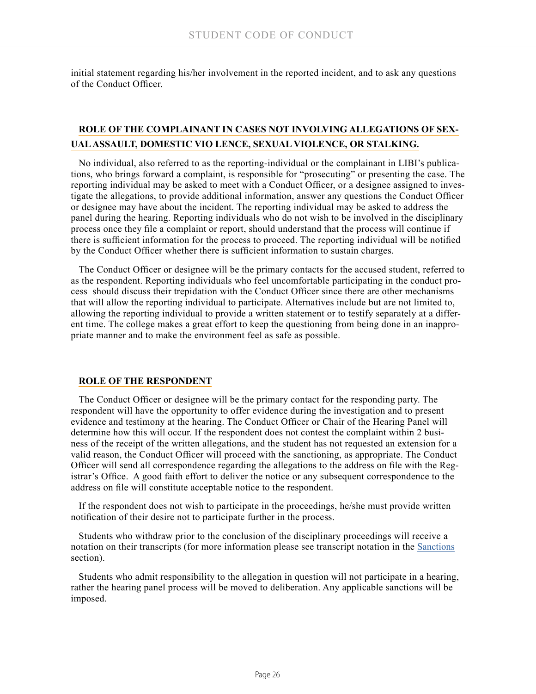initial statement regarding his/her involvement in the reported incident, and to ask any questions of the Conduct Officer.

## **ROLE OF THE COMPLAINANT IN CASES NOT INVOLVING ALLEGATIONS OF SEX-UAL ASSAULT, DOMESTIC VIO LENCE, SEXUAL VIOLENCE, OR STALKING.**

No individual, also referred to as the reporting-individual or the complainant in LIBI's publications, who brings forward a complaint, is responsible for "prosecuting" or presenting the case. The reporting individual may be asked to meet with a Conduct Officer, or a designee assigned to investigate the allegations, to provide additional information, answer any questions the Conduct Officer or designee may have about the incident. The reporting individual may be asked to address the panel during the hearing. Reporting individuals who do not wish to be involved in the disciplinary process once they file a complaint or report, should understand that the process will continue if there is sufficient information for the process to proceed. The reporting individual will be notified by the Conduct Officer whether there is sufficient information to sustain charges.

The Conduct Officer or designee will be the primary contacts for the accused student, referred to as the respondent. Reporting individuals who feel uncomfortable participating in the conduct process should discuss their trepidation with the Conduct Officer since there are other mechanisms that will allow the reporting individual to participate. Alternatives include but are not limited to, allowing the reporting individual to provide a written statement or to testify separately at a different time. The college makes a great effort to keep the questioning from being done in an inappropriate manner and to make the environment feel as safe as possible.

#### **ROLE OF THE RESPONDENT**

The Conduct Officer or designee will be the primary contact for the responding party. The respondent will have the opportunity to offer evidence during the investigation and to present evidence and testimony at the hearing. The Conduct Officer or Chair of the Hearing Panel will determine how this will occur. If the respondent does not contest the complaint within 2 business of the receipt of the written allegations, and the student has not requested an extension for a valid reason, the Conduct Officer will proceed with the sanctioning, as appropriate. The Conduct Officer will send all correspondence regarding the allegations to the address on file with the Registrar's Office. A good faith effort to deliver the notice or any subsequent correspondence to the address on file will constitute acceptable notice to the respondent.

If the respondent does not wish to participate in the proceedings, he/she must provide written notification of their desire not to participate further in the process.

Students who withdraw prior to the conclusion of the disciplinary proceedings will receive a notation on their transcripts (for more information please see transcript notation in the [Sanctions](#page-26-0) section).

Students who admit responsibility to the allegation in question will not participate in a hearing, rather the hearing panel process will be moved to deliberation. Any applicable sanctions will be imposed.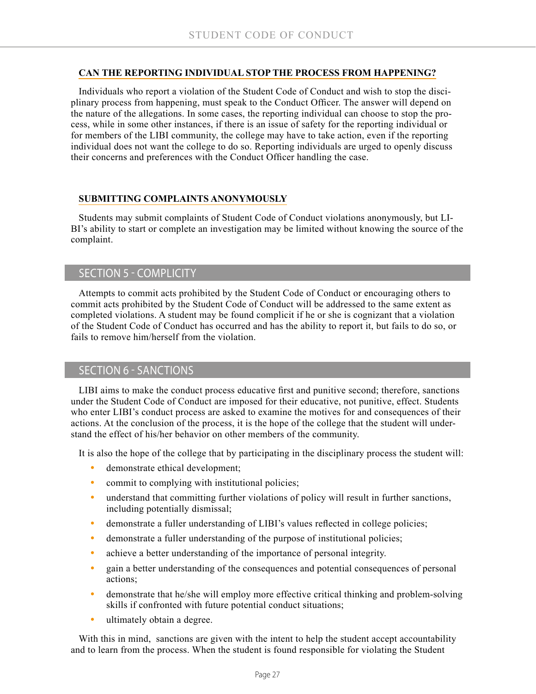### **CAN THE REPORTING INDIVIDUAL STOP THE PROCESS FROM HAPPENING?**

Individuals who report a violation of the Student Code of Conduct and wish to stop the disciplinary process from happening, must speak to the Conduct Officer. The answer will depend on the nature of the allegations. In some cases, the reporting individual can choose to stop the process, while in some other instances, if there is an issue of safety for the reporting individual or for members of the LIBI community, the college may have to take action, even if the reporting individual does not want the college to do so. Reporting individuals are urged to openly discuss their concerns and preferences with the Conduct Officer handling the case.

## **SUBMITTING COMPLAINTS ANONYMOUSLY**

Students may submit complaints of Student Code of Conduct violations anonymously, but LI-BI's ability to start or complete an investigation may be limited without knowing the source of the complaint.

## SECTION 5 - COMPLICITY

Attempts to commit acts prohibited by the Student Code of Conduct or encouraging others to commit acts prohibited by the Student Code of Conduct will be addressed to the same extent as completed violations. A student may be found complicit if he or she is cognizant that a violation of the Student Code of Conduct has occurred and has the ability to report it, but fails to do so, or fails to remove him/herself from the violation.

## <span id="page-26-0"></span>SECTION 6 - SANCTIONS

LIBI aims to make the conduct process educative first and punitive second; therefore, sanctions under the Student Code of Conduct are imposed for their educative, not punitive, effect. Students who enter LIBI's conduct process are asked to examine the motives for and consequences of their actions. At the conclusion of the process, it is the hope of the college that the student will understand the effect of his/her behavior on other members of the community.

It is also the hope of the college that by participating in the disciplinary process the student will:

- demonstrate ethical development;
- commit to complying with institutional policies;
- understand that committing further violations of policy will result in further sanctions, including potentially dismissal;
- **•** demonstrate a fuller understanding of LIBI's values reflected in college policies;
- **•** demonstrate a fuller understanding of the purpose of institutional policies;
- **•** achieve a better understanding of the importance of personal integrity.
- gain a better understanding of the consequences and potential consequences of personal actions;
- **•** demonstrate that he/she will employ more effective critical thinking and problem-solving skills if confronted with future potential conduct situations;
- ultimately obtain a degree.

With this in mind, sanctions are given with the intent to help the student accept accountability and to learn from the process. When the student is found responsible for violating the Student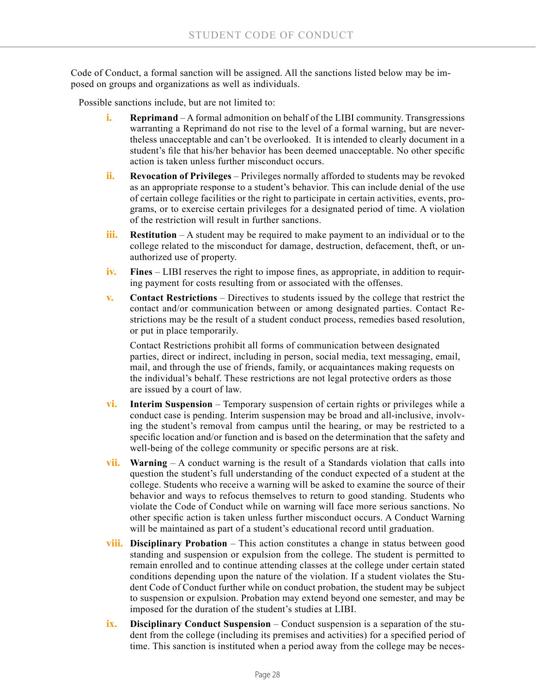Code of Conduct, a formal sanction will be assigned. All the sanctions listed below may be imposed on groups and organizations as well as individuals.

Possible sanctions include, but are not limited to:

- **i. Reprimand** A formal admonition on behalf of the LIBI community. Transgressions warranting a Reprimand do not rise to the level of a formal warning, but are nevertheless unacceptable and can't be overlooked. It is intended to clearly document in a student's file that his/her behavior has been deemed unacceptable. No other specific action is taken unless further misconduct occurs.
- **ii. Revocation of Privileges**  Privileges normally afforded to students may be revoked as an appropriate response to a student's behavior. This can include denial of the use of certain college facilities or the right to participate in certain activities, events, programs, or to exercise certain privileges for a designated period of time. A violation of the restriction will result in further sanctions.
- **iii. Restitution** A student may be required to make payment to an individual or to the college related to the misconduct for damage, destruction, defacement, theft, or unauthorized use of property.
- **iv.** Fines LIBI reserves the right to impose fines, as appropriate, in addition to requiring payment for costs resulting from or associated with the offenses.
- **v. Contact Restrictions**  Directives to students issued by the college that restrict the contact and/or communication between or among designated parties. Contact Restrictions may be the result of a student conduct process, remedies based resolution, or put in place temporarily.

Contact Restrictions prohibit all forms of communication between designated parties, direct or indirect, including in person, social media, text messaging, email, mail, and through the use of friends, family, or acquaintances making requests on the individual's behalf. These restrictions are not legal protective orders as those are issued by a court of law.

- **vi. Interim Suspension** Temporary suspension of certain rights or privileges while a conduct case is pending. Interim suspension may be broad and all-inclusive, involving the student's removal from campus until the hearing, or may be restricted to a specific location and/or function and is based on the determination that the safety and well-being of the college community or specific persons are at risk.
- **vii. Warning** A conduct warning is the result of a Standards violation that calls into question the student's full understanding of the conduct expected of a student at the college. Students who receive a warning will be asked to examine the source of their behavior and ways to refocus themselves to return to good standing. Students who violate the Code of Conduct while on warning will face more serious sanctions. No other specific action is taken unless further misconduct occurs. A Conduct Warning will be maintained as part of a student's educational record until graduation.
- **viii. Disciplinary Probation**  This action constitutes a change in status between good standing and suspension or expulsion from the college. The student is permitted to remain enrolled and to continue attending classes at the college under certain stated conditions depending upon the nature of the violation. If a student violates the Student Code of Conduct further while on conduct probation, the student may be subject to suspension or expulsion. Probation may extend beyond one semester, and may be imposed for the duration of the student's studies at LIBI.
- **ix. Disciplinary Conduct Suspension** Conduct suspension is a separation of the student from the college (including its premises and activities) for a specified period of time. This sanction is instituted when a period away from the college may be neces-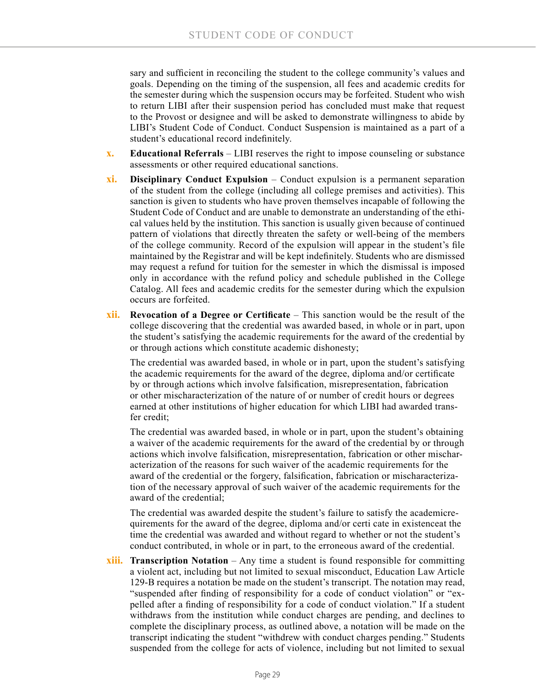sary and sufficient in reconciling the student to the college community's values and goals. Depending on the timing of the suspension, all fees and academic credits for the semester during which the suspension occurs may be forfeited. Student who wish to return LIBI after their suspension period has concluded must make that request to the Provost or designee and will be asked to demonstrate willingness to abide by LIBI's Student Code of Conduct. Conduct Suspension is maintained as a part of a student's educational record indefinitely.

- **x. Educational Referrals** LIBI reserves the right to impose counseling or substance assessments or other required educational sanctions.
- **xi. Disciplinary Conduct Expulsion** Conduct expulsion is a permanent separation of the student from the college (including all college premises and activities). This sanction is given to students who have proven themselves incapable of following the Student Code of Conduct and are unable to demonstrate an understanding of the ethical values held by the institution. This sanction is usually given because of continued pattern of violations that directly threaten the safety or well-being of the members of the college community. Record of the expulsion will appear in the student's file maintained by the Registrar and will be kept indefinitely. Students who are dismissed may request a refund for tuition for the semester in which the dismissal is imposed only in accordance with the refund policy and schedule published in the College Catalog. All fees and academic credits for the semester during which the expulsion occurs are forfeited.
- **xii. Revocation of a Degree or Certificate**  This sanction would be the result of the college discovering that the credential was awarded based, in whole or in part, upon the student's satisfying the academic requirements for the award of the credential by or through actions which constitute academic dishonesty;

The credential was awarded based, in whole or in part, upon the student's satisfying the academic requirements for the award of the degree, diploma and/or certificate by or through actions which involve falsification, misrepresentation, fabrication or other mischaracterization of the nature of or number of credit hours or degrees earned at other institutions of higher education for which LIBI had awarded transfer credit;

The credential was awarded based, in whole or in part, upon the student's obtaining a waiver of the academic requirements for the award of the credential by or through actions which involve falsification, misrepresentation, fabrication or other mischaracterization of the reasons for such waiver of the academic requirements for the award of the credential or the forgery, falsification, fabrication or mischaracterization of the necessary approval of such waiver of the academic requirements for the award of the credential;

The credential was awarded despite the student's failure to satisfy the academicrequirements for the award of the degree, diploma and/or certi cate in existenceat the time the credential was awarded and without regard to whether or not the student's conduct contributed, in whole or in part, to the erroneous award of the credential.

**xiii. Transcription Notation** – Any time a student is found responsible for committing a violent act, including but not limited to sexual misconduct, Education Law Article 129-B requires a notation be made on the student's transcript. The notation may read, "suspended after finding of responsibility for a code of conduct violation" or "expelled after a finding of responsibility for a code of conduct violation." If a student withdraws from the institution while conduct charges are pending, and declines to complete the disciplinary process, as outlined above, a notation will be made on the transcript indicating the student "withdrew with conduct charges pending." Students suspended from the college for acts of violence, including but not limited to sexual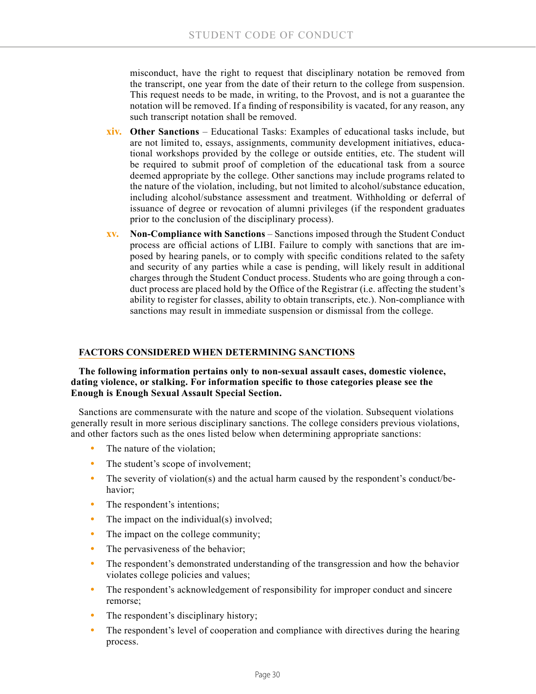misconduct, have the right to request that disciplinary notation be removed from the transcript, one year from the date of their return to the college from suspension. This request needs to be made, in writing, to the Provost, and is not a guarantee the notation will be removed. If a finding of responsibility is vacated, for any reason, any such transcript notation shall be removed.

- **xiv. Other Sanctions** Educational Tasks: Examples of educational tasks include, but are not limited to, essays, assignments, community development initiatives, educational workshops provided by the college or outside entities, etc. The student will be required to submit proof of completion of the educational task from a source deemed appropriate by the college. Other sanctions may include programs related to the nature of the violation, including, but not limited to alcohol/substance education, including alcohol/substance assessment and treatment. Withholding or deferral of issuance of degree or revocation of alumni privileges (if the respondent graduates prior to the conclusion of the disciplinary process).
- **xv. Non-Compliance with Sanctions**  Sanctions imposed through the Student Conduct process are official actions of LIBI. Failure to comply with sanctions that are imposed by hearing panels, or to comply with specific conditions related to the safety and security of any parties while a case is pending, will likely result in additional charges through the Student Conduct process. Students who are going through a conduct process are placed hold by the Office of the Registrar (i.e. affecting the student's ability to register for classes, ability to obtain transcripts, etc.). Non-compliance with sanctions may result in immediate suspension or dismissal from the college.

## **FACTORS CONSIDERED WHEN DETERMINING SANCTIONS**

#### **The following information pertains only to non-sexual assault cases, domestic violence, dating violence, or stalking. For information specific to those categories please see the Enough is Enough Sexual Assault Special Section.**

Sanctions are commensurate with the nature and scope of the violation. Subsequent violations generally result in more serious disciplinary sanctions. The college considers previous violations, and other factors such as the ones listed below when determining appropriate sanctions:

- The nature of the violation;
- The student's scope of involvement;
- The severity of violation(s) and the actual harm caused by the respondent's conduct/behavior;
- The respondent's intentions;
- The impact on the individual(s) involved;
- The impact on the college community;
- The pervasiveness of the behavior;
- **•** The respondent's demonstrated understanding of the transgression and how the behavior violates college policies and values;
- The respondent's acknowledgement of responsibility for improper conduct and sincere remorse;
- The respondent's disciplinary history;
- **•** The respondent's level of cooperation and compliance with directives during the hearing process.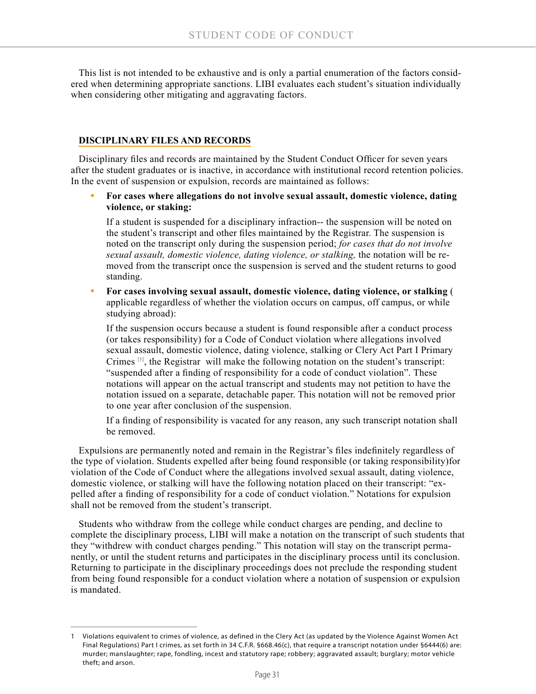This list is not intended to be exhaustive and is only a partial enumeration of the factors considered when determining appropriate sanctions. LIBI evaluates each student's situation individually when considering other mitigating and aggravating factors.

## **DISCIPLINARY FILES AND RECORDS**

Disciplinary files and records are maintained by the Student Conduct Officer for seven years after the student graduates or is inactive, in accordance with institutional record retention policies. In the event of suspension or expulsion, records are maintained as follows:

**• For cases where allegations do not involve sexual assault, domestic violence, dating violence, or staking:**

If a student is suspended for a disciplinary infraction-- the suspension will be noted on the student's transcript and other files maintained by the Registrar. The suspension is noted on the transcript only during the suspension period; *for cases that do not involve sexual assault, domestic violence, dating violence, or stalking,* the notation will be removed from the transcript once the suspension is served and the student returns to good standing.

**• For cases involving sexual assault, domestic violence, dating violence, or stalking** ( applicable regardless of whether the violation occurs on campus, off campus, or while studying abroad):

If the suspension occurs because a student is found responsible after a conduct process (or takes responsibility) for a Code of Conduct violation where allegations involved sexual assault, domestic violence, dating violence, stalking or Clery Act Part I Primary Crimes [1], the Registrar will make the following notation on the student's transcript: "suspended after a finding of responsibility for a code of conduct violation". These notations will appear on the actual transcript and students may not petition to have the notation issued on a separate, detachable paper. This notation will not be removed prior to one year after conclusion of the suspension.

If a finding of responsibility is vacated for any reason, any such transcript notation shall be removed.

Expulsions are permanently noted and remain in the Registrar's files indefinitely regardless of the type of violation. Students expelled after being found responsible (or taking responsibility)for violation of the Code of Conduct where the allegations involved sexual assault, dating violence, domestic violence, or stalking will have the following notation placed on their transcript: "expelled after a finding of responsibility for a code of conduct violation." Notations for expulsion shall not be removed from the student's transcript.

Students who withdraw from the college while conduct charges are pending, and decline to complete the disciplinary process, LIBI will make a notation on the transcript of such students that they "withdrew with conduct charges pending." This notation will stay on the transcript permanently, or until the student returns and participates in the disciplinary process until its conclusion. Returning to participate in the disciplinary proceedings does not preclude the responding student from being found responsible for a conduct violation where a notation of suspension or expulsion is mandated.

<sup>1</sup> Violations equivalent to crimes of violence, as defined in the Clery Act (as updated by the Violence Against Women Act Final Regulations) Part I crimes, as set forth in 34 C.F.R. §668.46(c), that require a transcript notation under §6444(6) are: murder; manslaughter; rape, fondling, incest and statutory rape; robbery; aggravated assault; burglary; motor vehicle theft; and arson.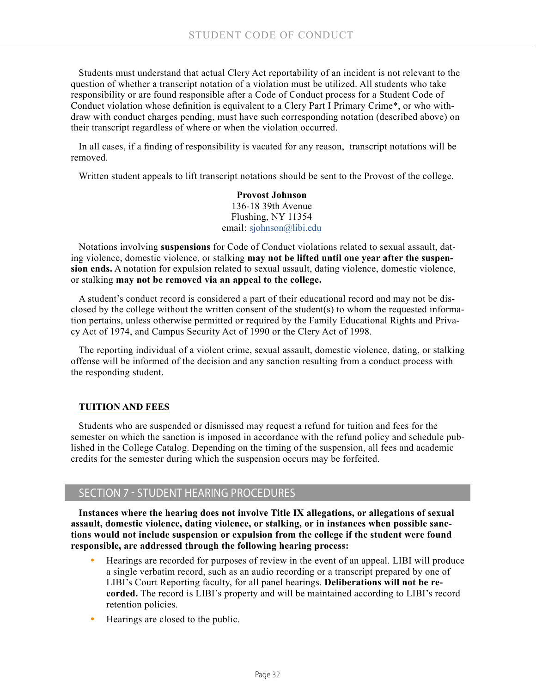Students must understand that actual Clery Act reportability of an incident is not relevant to the question of whether a transcript notation of a violation must be utilized. All students who take responsibility or are found responsible after a Code of Conduct process for a Student Code of Conduct violation whose definition is equivalent to a Clery Part I Primary Crime\*, or who withdraw with conduct charges pending, must have such corresponding notation (described above) on their transcript regardless of where or when the violation occurred.

In all cases, if a finding of responsibility is vacated for any reason, transcript notations will be removed.

Written student appeals to lift transcript notations should be sent to the Provost of the college.

**Provost Johnson** 136-18 39th Avenue Flushing, NY 11354 email: [sjohnson@libi.edu](mailto:sjohnson%40libi.edu?subject=)

Notations involving **suspensions** for Code of Conduct violations related to sexual assault, dating violence, domestic violence, or stalking **may not be lifted until one year after the suspension ends.** A notation for expulsion related to sexual assault, dating violence, domestic violence, or stalking **may not be removed via an appeal to the college.**

A student's conduct record is considered a part of their educational record and may not be disclosed by the college without the written consent of the student(s) to whom the requested information pertains, unless otherwise permitted or required by the Family Educational Rights and Privacy Act of 1974, and Campus Security Act of 1990 or the Clery Act of 1998.

The reporting individual of a violent crime, sexual assault, domestic violence, dating, or stalking offense will be informed of the decision and any sanction resulting from a conduct process with the responding student.

## **TUITION AND FEES**

Students who are suspended or dismissed may request a refund for tuition and fees for the semester on which the sanction is imposed in accordance with the refund policy and schedule published in the College Catalog. Depending on the timing of the suspension, all fees and academic credits for the semester during which the suspension occurs may be forfeited.

# SECTION 7 - STUDENT HEARING PROCEDURES

**Instances where the hearing does not involve Title IX allegations, or allegations of sexual assault, domestic violence, dating violence, or stalking, or in instances when possible sanctions would not include suspension or expulsion from the college if the student were found responsible, are addressed through the following hearing process:**

- **•** Hearings are recorded for purposes of review in the event of an appeal. LIBI will produce a single verbatim record, such as an audio recording or a transcript prepared by one of LIBI's Court Reporting faculty, for all panel hearings. **Deliberations will not be recorded.** The record is LIBI's property and will be maintained according to LIBI's record retention policies.
- **•** Hearings are closed to the public.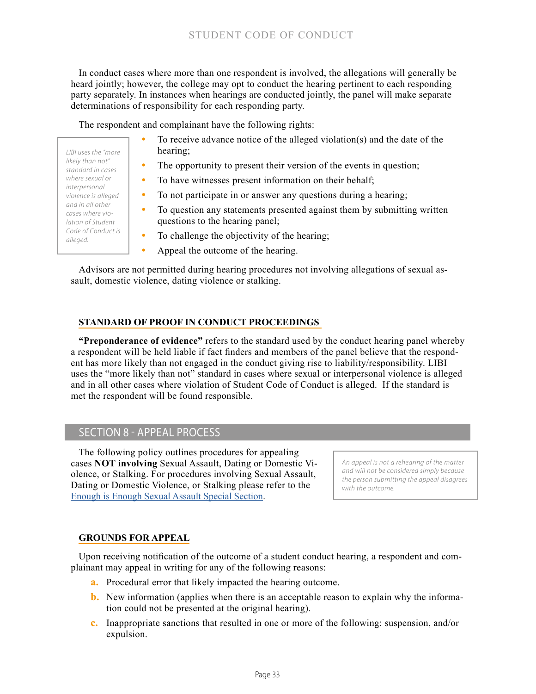In conduct cases where more than one respondent is involved, the allegations will generally be heard jointly; however, the college may opt to conduct the hearing pertinent to each responding party separately. In instances when hearings are conducted jointly, the panel will make separate determinations of responsibility for each responding party.

The respondent and complainant have the following rights:

- *LIBI uses the "more likely than not" standard in cases where sexual or interpersonal violence is alleged and in all other cases where violation of Student Code of Conduct is alleged.*
- **•** To receive advance notice of the alleged violation(s) and the date of the hearing;
- The opportunity to present their version of the events in question;
- **•** To have witnesses present information on their behalf;
- **•** To not participate in or answer any questions during a hearing;
- **•** To question any statements presented against them by submitting written questions to the hearing panel;
- To challenge the objectivity of the hearing;
- **•** Appeal the outcome of the hearing.

Advisors are not permitted during hearing procedures not involving allegations of sexual assault, domestic violence, dating violence or stalking.

## **STANDARD OF PROOF IN CONDUCT PROCEEDINGS**

**"Preponderance of evidence"** refers to the standard used by the conduct hearing panel whereby a respondent will be held liable if fact finders and members of the panel believe that the respondent has more likely than not engaged in the conduct giving rise to liability/responsibility. LIBI uses the "more likely than not" standard in cases where sexual or interpersonal violence is alleged and in all other cases where violation of Student Code of Conduct is alleged. If the standard is met the respondent will be found responsible.

## SECTION 8 - APPEAL PROCESS

The following policy outlines procedures for appealing cases **NOT involving** Sexual Assault, Dating or Domestic Violence, or Stalking. For procedures involving Sexual Assault, Dating or Domestic Violence, or Stalking please refer to the [Enough is Enough Sexual Assault Special Section](https://issuu.com/longislandbusinessinstitute/docs/enough_is_enough_-_ff?e=15759193/61367658).

*An appeal is not a rehearing of the matter and will not be considered simply because the person submitting the appeal disagrees with the outcome.*

## **GROUNDS FOR APPEAL**

Upon receiving notification of the outcome of a student conduct hearing, a respondent and complainant may appeal in writing for any of the following reasons:

- **a.** Procedural error that likely impacted the hearing outcome.
- **b.** New information (applies when there is an acceptable reason to explain why the information could not be presented at the original hearing).
- **c.** Inappropriate sanctions that resulted in one or more of the following: suspension, and/or expulsion.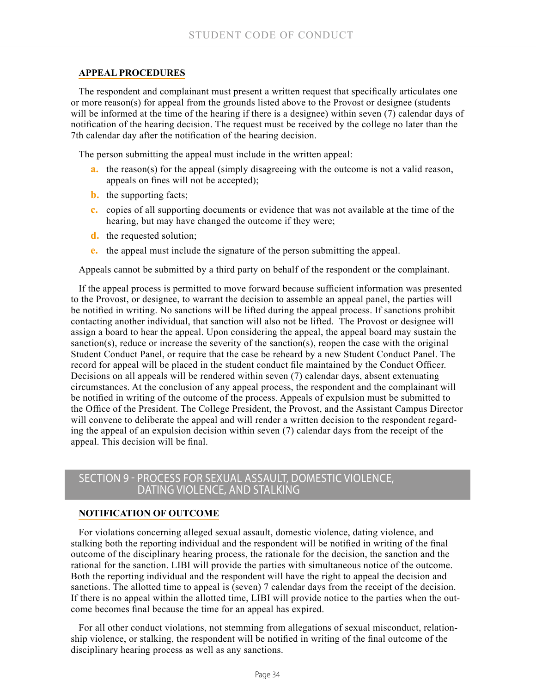### **APPEAL PROCEDURES**

The respondent and complainant must present a written request that specifically articulates one or more reason(s) for appeal from the grounds listed above to the Provost or designee (students will be informed at the time of the hearing if there is a designee) within seven (7) calendar days of notification of the hearing decision. The request must be received by the college no later than the 7th calendar day after the notification of the hearing decision.

The person submitting the appeal must include in the written appeal:

- **a.** the reason(s) for the appeal (simply disagreeing with the outcome is not a valid reason, appeals on fines will not be accepted);
- **b.** the supporting facts;
- **c.** copies of all supporting documents or evidence that was not available at the time of the hearing, but may have changed the outcome if they were;
- **d.** the requested solution;
- **e.** the appeal must include the signature of the person submitting the appeal.

Appeals cannot be submitted by a third party on behalf of the respondent or the complainant.

If the appeal process is permitted to move forward because sufficient information was presented to the Provost, or designee, to warrant the decision to assemble an appeal panel, the parties will be notified in writing. No sanctions will be lifted during the appeal process. If sanctions prohibit contacting another individual, that sanction will also not be lifted. The Provost or designee will assign a board to hear the appeal. Upon considering the appeal, the appeal board may sustain the sanction(s), reduce or increase the severity of the sanction(s), reopen the case with the original Student Conduct Panel, or require that the case be reheard by a new Student Conduct Panel. The record for appeal will be placed in the student conduct file maintained by the Conduct Officer. Decisions on all appeals will be rendered within seven (7) calendar days, absent extenuating circumstances. At the conclusion of any appeal process, the respondent and the complainant will be notified in writing of the outcome of the process. Appeals of expulsion must be submitted to the Office of the President. The College President, the Provost, and the Assistant Campus Director will convene to deliberate the appeal and will render a written decision to the respondent regarding the appeal of an expulsion decision within seven (7) calendar days from the receipt of the appeal. This decision will be final.

## SECTION 9 - PROCESS FOR SEXUAL ASSAULT, DOMESTIC VIOLENCE, DATING VIOLENCE, AND STALKING

#### **NOTIFICATION OF OUTCOME**

For violations concerning alleged sexual assault, domestic violence, dating violence, and stalking both the reporting individual and the respondent will be notified in writing of the final outcome of the disciplinary hearing process, the rationale for the decision, the sanction and the rational for the sanction. LIBI will provide the parties with simultaneous notice of the outcome. Both the reporting individual and the respondent will have the right to appeal the decision and sanctions. The allotted time to appeal is (seven) 7 calendar days from the receipt of the decision. If there is no appeal within the allotted time, LIBI will provide notice to the parties when the outcome becomes final because the time for an appeal has expired.

For all other conduct violations, not stemming from allegations of sexual misconduct, relationship violence, or stalking, the respondent will be notified in writing of the final outcome of the disciplinary hearing process as well as any sanctions.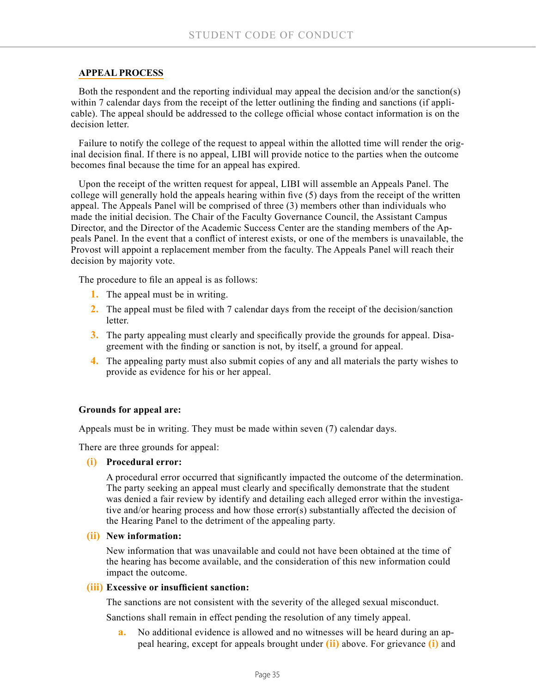#### **APPEAL PROCESS**

Both the respondent and the reporting individual may appeal the decision and/or the sanction(s) within 7 calendar days from the receipt of the letter outlining the finding and sanctions (if applicable). The appeal should be addressed to the college official whose contact information is on the decision letter.

Failure to notify the college of the request to appeal within the allotted time will render the original decision final. If there is no appeal, LIBI will provide notice to the parties when the outcome becomes final because the time for an appeal has expired.

Upon the receipt of the written request for appeal, LIBI will assemble an Appeals Panel. The college will generally hold the appeals hearing within five (5) days from the receipt of the written appeal. The Appeals Panel will be comprised of three (3) members other than individuals who made the initial decision. The Chair of the Faculty Governance Council, the Assistant Campus Director, and the Director of the Academic Success Center are the standing members of the Appeals Panel. In the event that a conflict of interest exists, or one of the members is unavailable, the Provost will appoint a replacement member from the faculty. The Appeals Panel will reach their decision by majority vote.

The procedure to file an appeal is as follows:

- **1.** The appeal must be in writing.
- **2.** The appeal must be filed with 7 calendar days from the receipt of the decision/sanction **letter**
- **3.** The party appealing must clearly and specifically provide the grounds for appeal. Disagreement with the finding or sanction is not, by itself, a ground for appeal.
- **4.** The appealing party must also submit copies of any and all materials the party wishes to provide as evidence for his or her appeal.

#### **Grounds for appeal are:**

Appeals must be in writing. They must be made within seven (7) calendar days.

There are three grounds for appeal:

**(i) Procedural error:**

A procedural error occurred that significantly impacted the outcome of the determination. The party seeking an appeal must clearly and specifically demonstrate that the student was denied a fair review by identify and detailing each alleged error within the investigative and/or hearing process and how those error(s) substantially affected the decision of the Hearing Panel to the detriment of the appealing party.

#### **(ii) New information:**

New information that was unavailable and could not have been obtained at the time of the hearing has become available, and the consideration of this new information could impact the outcome.

#### **(iii) Excessive or insufficient sanction:**

The sanctions are not consistent with the severity of the alleged sexual misconduct.

Sanctions shall remain in effect pending the resolution of any timely appeal.

**a.** No additional evidence is allowed and no witnesses will be heard during an appeal hearing, except for appeals brought under **(ii)** above. For grievance **(i)** and